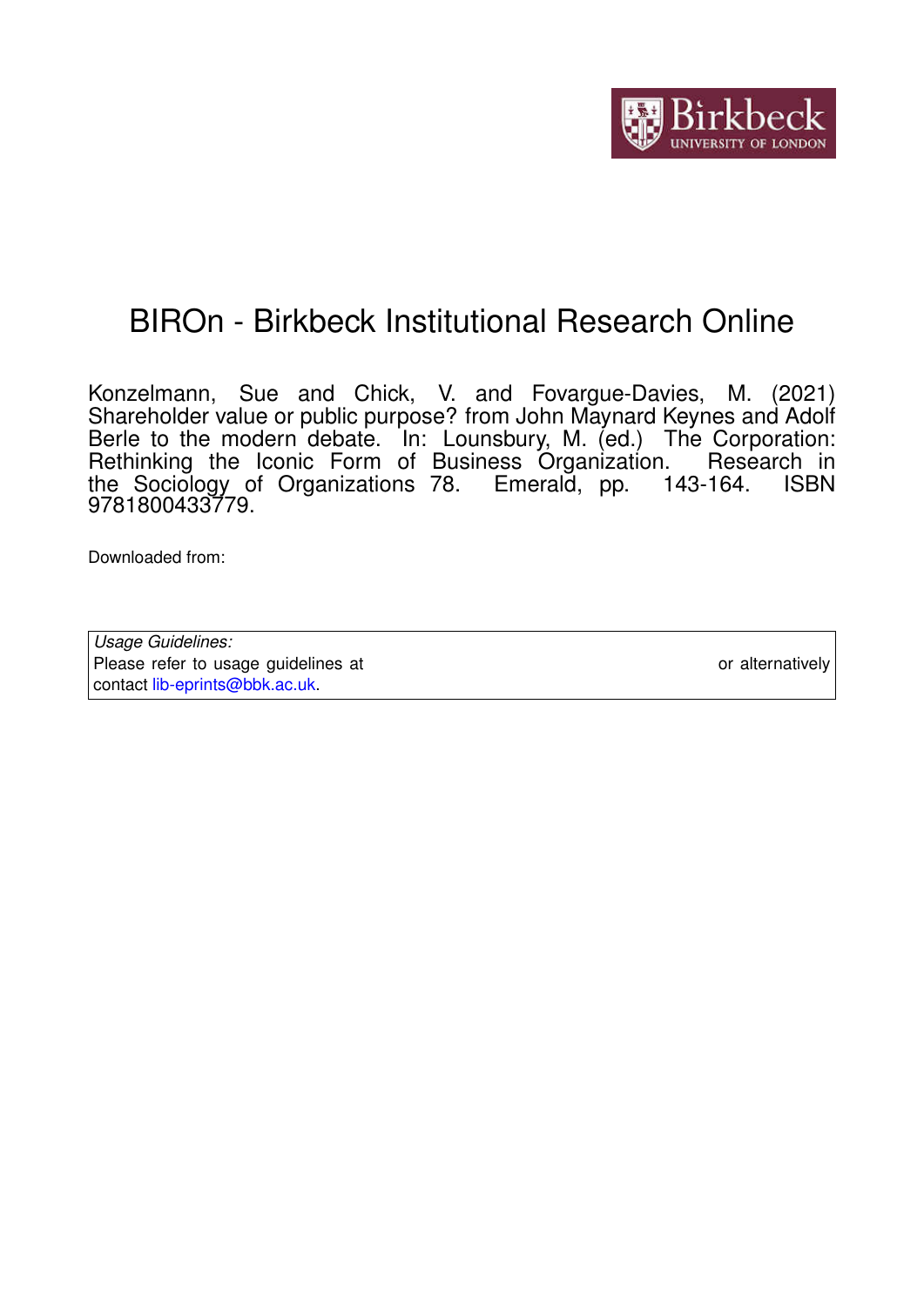# BIROn - Birkbeck Institutional Research Online

Konzelmann, Sue and Chick, V. and Fovargue-Davies, M. (2021) Shareholder value or public purpose? from John Maynard Keynes and Adolf Berle to the modern debate. In: Lounsbury, M. (ed.) The Corporation: Rethinking the Iconic Form of Business Organization. Research in the Sociology of Organizations 78. Emerald, pp. 143-164. ISBN 9781800433779.

Downloaded from: <https://eprints.bbk.ac.uk/id/eprint/45019/>

*Usage Guidelines:* Please refer to usage guidelines at <https://eprints.bbk.ac.uk/policies.html> or alternatively contact [lib-eprints@bbk.ac.uk.](mailto:lib-eprints@bbk.ac.uk)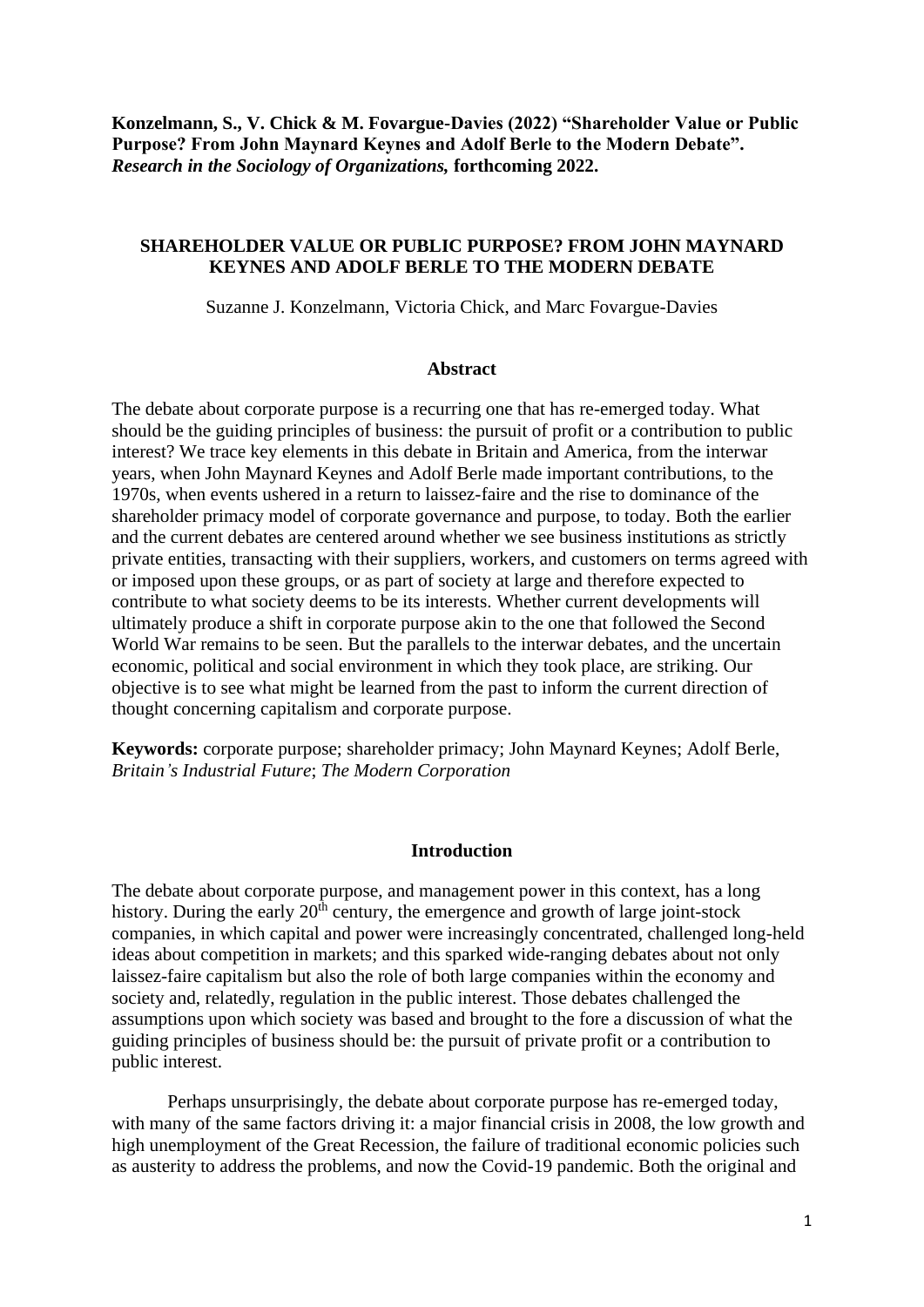**Konzelmann, S., V. Chick & M. Fovargue-Davies (2022) "Shareholder Value or Public Purpose? From John Maynard Keynes and Adolf Berle to the Modern Debate".**  *Research in the Sociology of Organizations,* **forthcoming 2022.**

## **SHAREHOLDER VALUE OR PUBLIC PURPOSE? FROM JOHN MAYNARD KEYNES AND ADOLF BERLE TO THE MODERN DEBATE**

Suzanne J. Konzelmann, Victoria Chick, and Marc Fovargue-Davies

#### **Abstract**

The debate about corporate purpose is a recurring one that has re-emerged today. What should be the guiding principles of business: the pursuit of profit or a contribution to public interest? We trace key elements in this debate in Britain and America, from the interwar years, when John Maynard Keynes and Adolf Berle made important contributions, to the 1970s, when events ushered in a return to laissez-faire and the rise to dominance of the shareholder primacy model of corporate governance and purpose, to today. Both the earlier and the current debates are centered around whether we see business institutions as strictly private entities, transacting with their suppliers, workers, and customers on terms agreed with or imposed upon these groups, or as part of society at large and therefore expected to contribute to what society deems to be its interests. Whether current developments will ultimately produce a shift in corporate purpose akin to the one that followed the Second World War remains to be seen. But the parallels to the interwar debates, and the uncertain economic, political and social environment in which they took place, are striking. Our objective is to see what might be learned from the past to inform the current direction of thought concerning capitalism and corporate purpose.

**Keywords:** corporate purpose; shareholder primacy; John Maynard Keynes; Adolf Berle, *Britain's Industrial Future*; *The Modern Corporation*

#### **Introduction**

The debate about corporate purpose, and management power in this context, has a long history. During the early  $20<sup>th</sup>$  century, the emergence and growth of large joint-stock companies, in which capital and power were increasingly concentrated, challenged long-held ideas about competition in markets; and this sparked wide-ranging debates about not only laissez-faire capitalism but also the role of both large companies within the economy and society and, relatedly, regulation in the public interest. Those debates challenged the assumptions upon which society was based and brought to the fore a discussion of what the guiding principles of business should be: the pursuit of private profit or a contribution to public interest.

Perhaps unsurprisingly, the debate about corporate purpose has re-emerged today, with many of the same factors driving it: a major financial crisis in 2008, the low growth and high unemployment of the Great Recession, the failure of traditional economic policies such as austerity to address the problems, and now the Covid-19 pandemic. Both the original and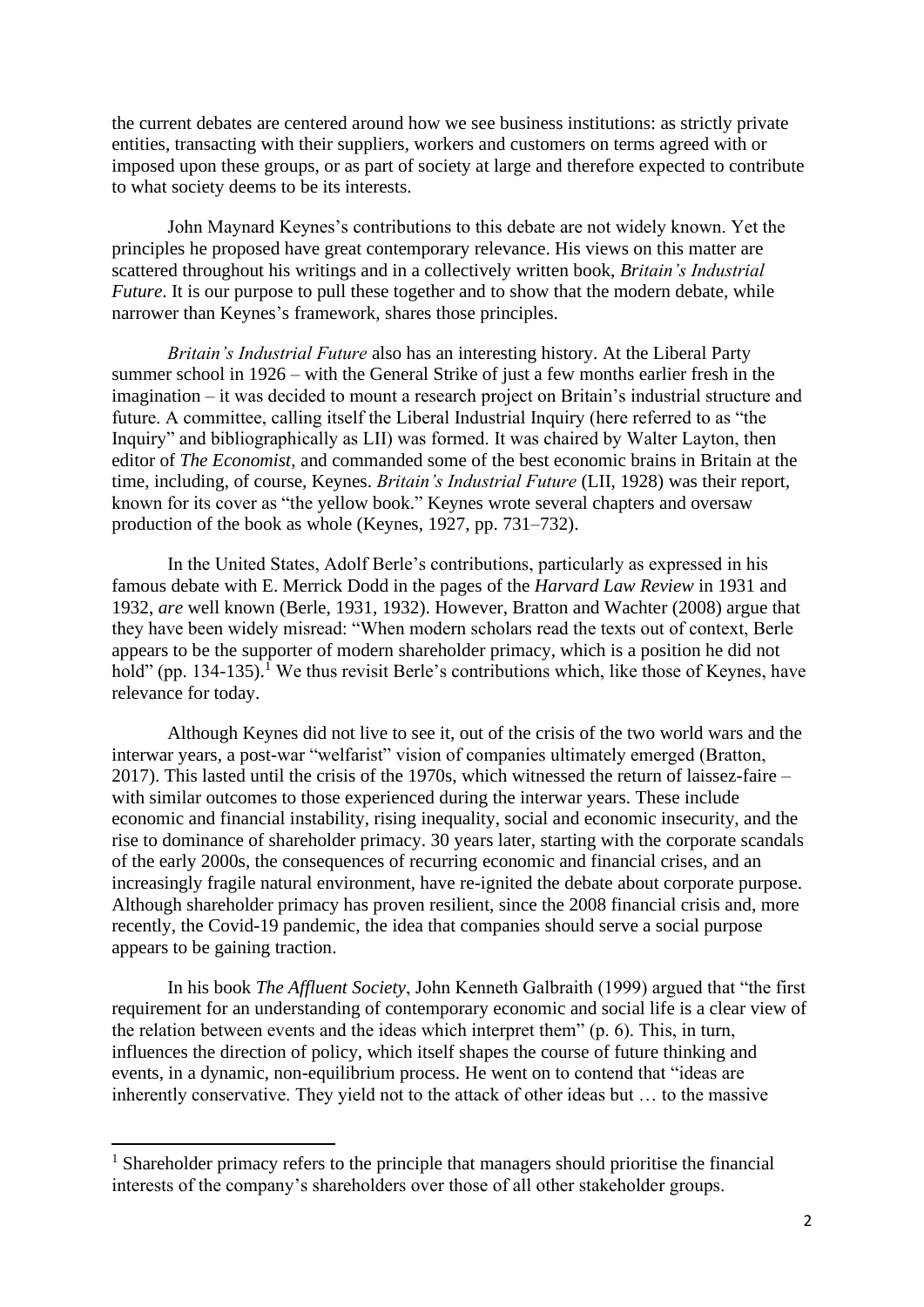the current debates are centered around how we see business institutions: as strictly private entities, transacting with their suppliers, workers and customers on terms agreed with or imposed upon these groups, or as part of society at large and therefore expected to contribute to what society deems to be its interests.

John Maynard Keynes's contributions to this debate are not widely known. Yet the principles he proposed have great contemporary relevance. His views on this matter are scattered throughout his writings and in a collectively written book, *Britain's Industrial Future*. It is our purpose to pull these together and to show that the modern debate, while narrower than Keynes's framework, shares those principles.

*Britain's Industrial Future* also has an interesting history. At the Liberal Party summer school in 1926 – with the General Strike of just a few months earlier fresh in the imagination – it was decided to mount a research project on Britain's industrial structure and future. A committee, calling itself the Liberal Industrial Inquiry (here referred to as "the Inquiry" and bibliographically as LII) was formed. It was chaired by Walter Layton, then editor of *The Economist*, and commanded some of the best economic brains in Britain at the time, including, of course, Keynes. *Britain's Industrial Future* (LII, 1928) was their report, known for its cover as "the yellow book." Keynes wrote several chapters and oversaw production of the book as whole (Keynes, 1927, pp. 731–732).

In the United States, Adolf Berle's contributions, particularly as expressed in his famous debate with E. Merrick Dodd in the pages of the *Harvard Law Review* in 1931 and 1932, *are* well known (Berle, 1931, 1932). However, Bratton and Wachter (2008) argue that they have been widely misread: "When modern scholars read the texts out of context, Berle appears to be the supporter of modern shareholder primacy, which is a position he did not hold" (pp. 134-135).<sup>1</sup> We thus revisit Berle's contributions which, like those of Keynes, have relevance for today.

Although Keynes did not live to see it, out of the crisis of the two world wars and the interwar years, a post-war "welfarist" vision of companies ultimately emerged (Bratton, 2017). This lasted until the crisis of the 1970s, which witnessed the return of laissez-faire – with similar outcomes to those experienced during the interwar years. These include economic and financial instability, rising inequality, social and economic insecurity, and the rise to dominance of shareholder primacy. 30 years later, starting with the corporate scandals of the early 2000s, the consequences of recurring economic and financial crises, and an increasingly fragile natural environment, have re-ignited the debate about corporate purpose. Although shareholder primacy has proven resilient, since the 2008 financial crisis and, more recently, the Covid-19 pandemic, the idea that companies should serve a social purpose appears to be gaining traction.

In his book *The Affluent Society*, John Kenneth Galbraith (1999) argued that "the first requirement for an understanding of contemporary economic and social life is a clear view of the relation between events and the ideas which interpret them" (p. 6). This, in turn, influences the direction of policy, which itself shapes the course of future thinking and events, in a dynamic, non-equilibrium process. He went on to contend that "ideas are inherently conservative. They yield not to the attack of other ideas but … to the massive

<sup>&</sup>lt;sup>1</sup> Shareholder primacy refers to the principle that managers should prioritise the financial interests of the company's shareholders over those of all other stakeholder groups.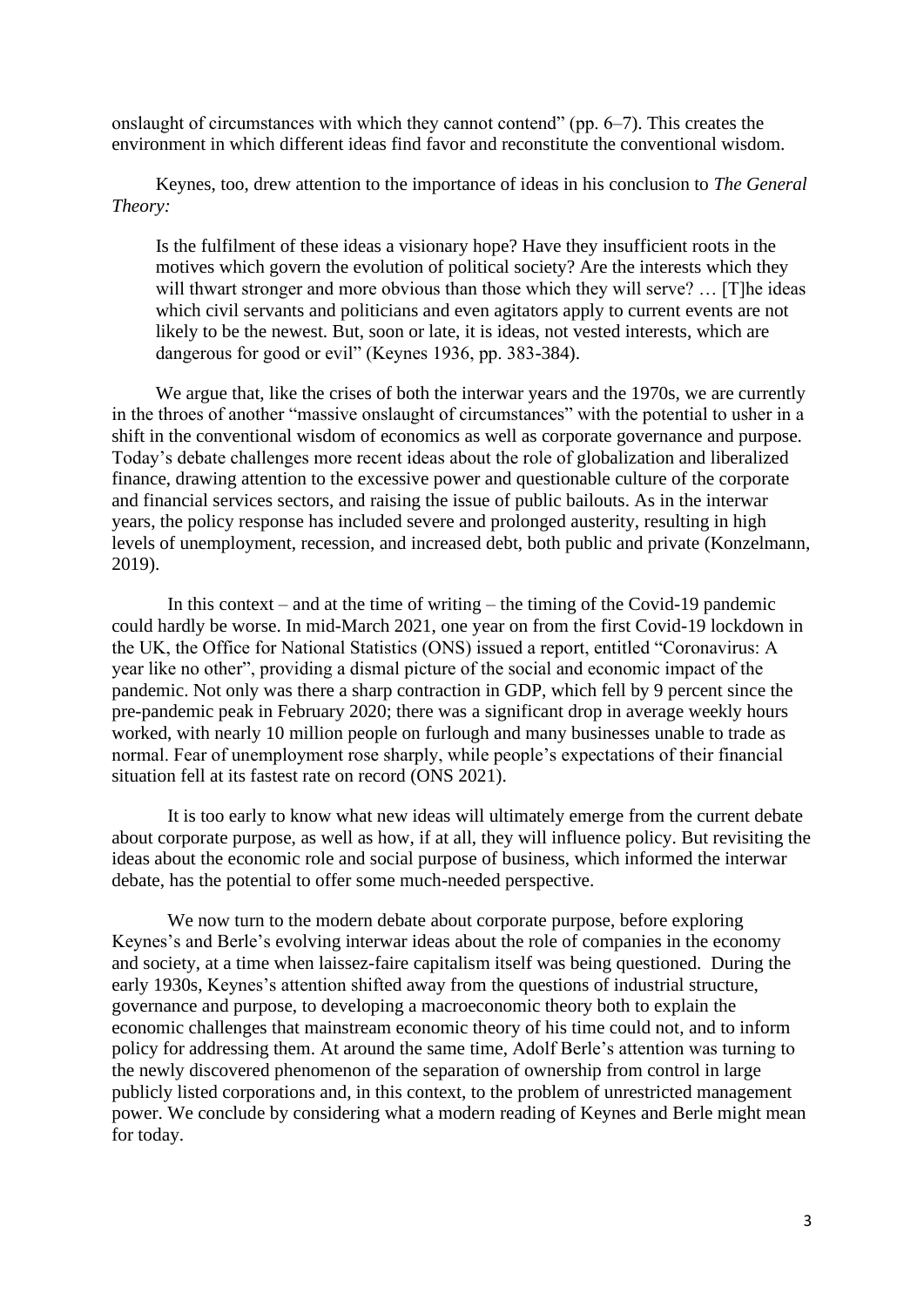onslaught of circumstances with which they cannot contend" (pp. 6–7). This creates the environment in which different ideas find favor and reconstitute the conventional wisdom.

Keynes, too, drew attention to the importance of ideas in his conclusion to *The General Theory:*

Is the fulfilment of these ideas a visionary hope? Have they insufficient roots in the motives which govern the evolution of political society? Are the interests which they will thwart stronger and more obvious than those which they will serve? ... [T]he ideas which civil servants and politicians and even agitators apply to current events are not likely to be the newest. But, soon or late, it is ideas, not vested interests, which are dangerous for good or evil" (Keynes 1936, pp. 383-384).

We argue that, like the crises of both the interwar years and the 1970s, we are currently in the throes of another "massive onslaught of circumstances" with the potential to usher in a shift in the conventional wisdom of economics as well as corporate governance and purpose. Today's debate challenges more recent ideas about the role of globalization and liberalized finance, drawing attention to the excessive power and questionable culture of the corporate and financial services sectors, and raising the issue of public bailouts. As in the interwar years, the policy response has included severe and prolonged austerity, resulting in high levels of unemployment, recession, and increased debt, both public and private (Konzelmann, 2019).

In this context – and at the time of writing – the timing of the Covid-19 pandemic could hardly be worse. In mid-March 2021, one year on from the first Covid-19 lockdown in the UK, the Office for National Statistics (ONS) issued a report, entitled "Coronavirus: A year like no other", providing a dismal picture of the social and economic impact of the pandemic. Not only was there a sharp contraction in GDP, which fell by 9 percent since the pre-pandemic peak in February 2020; there was a significant drop in average weekly hours worked, with nearly 10 million people on furlough and many businesses unable to trade as normal. Fear of unemployment rose sharply, while people's expectations of their financial situation fell at its fastest rate on record (ONS 2021).

It is too early to know what new ideas will ultimately emerge from the current debate about corporate purpose, as well as how, if at all, they will influence policy. But revisiting the ideas about the economic role and social purpose of business, which informed the interwar debate, has the potential to offer some much-needed perspective.

We now turn to the modern debate about corporate purpose, before exploring Keynes's and Berle's evolving interwar ideas about the role of companies in the economy and society, at a time when laissez-faire capitalism itself was being questioned. During the early 1930s, Keynes's attention shifted away from the questions of industrial structure, governance and purpose, to developing a macroeconomic theory both to explain the economic challenges that mainstream economic theory of his time could not, and to inform policy for addressing them. At around the same time, Adolf Berle's attention was turning to the newly discovered phenomenon of the separation of ownership from control in large publicly listed corporations and, in this context, to the problem of unrestricted management power. We conclude by considering what a modern reading of Keynes and Berle might mean for today.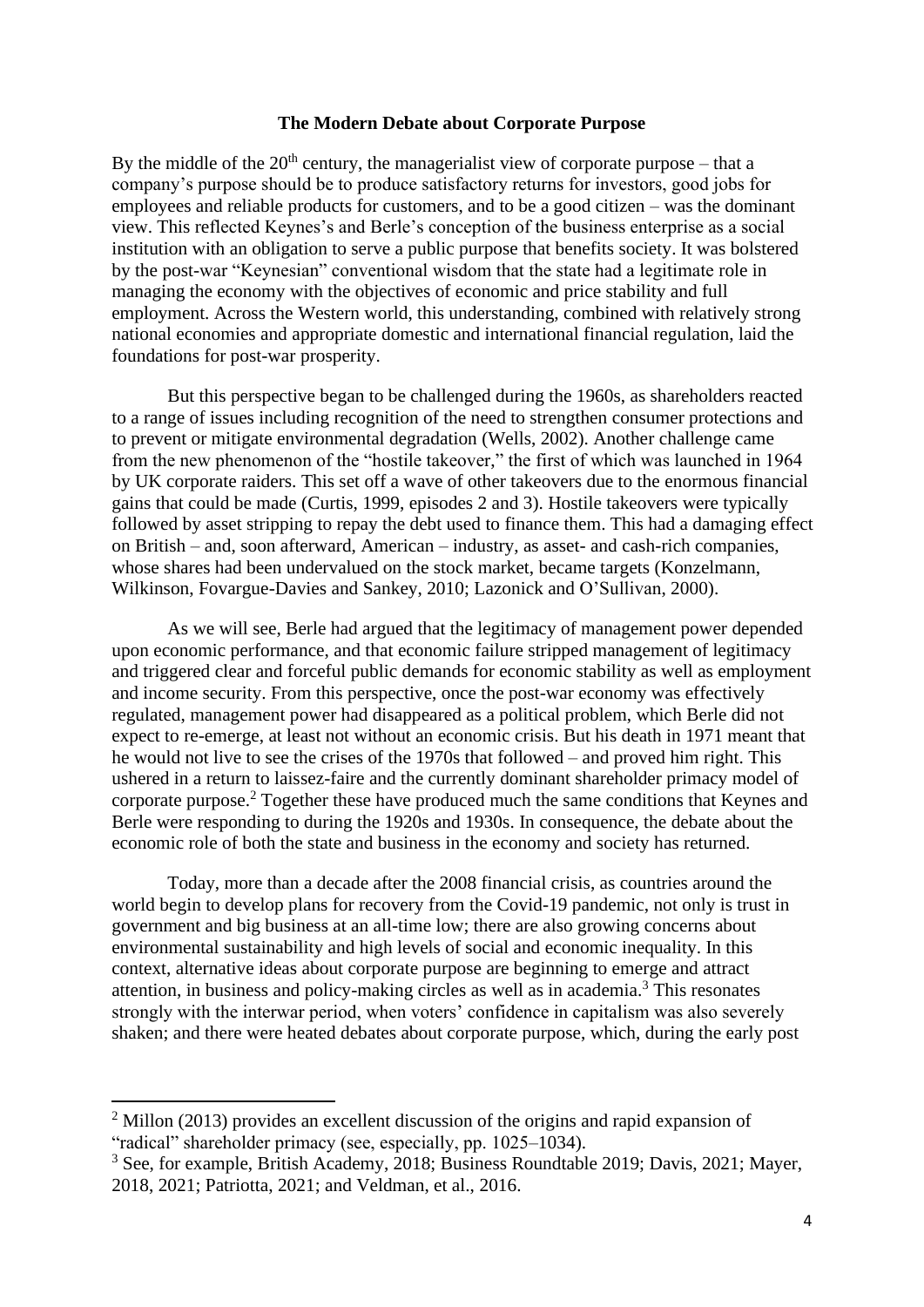#### **The Modern Debate about Corporate Purpose**

By the middle of the  $20<sup>th</sup>$  century, the managerialist view of corporate purpose – that a company's purpose should be to produce satisfactory returns for investors, good jobs for employees and reliable products for customers, and to be a good citizen – was the dominant view. This reflected Keynes's and Berle's conception of the business enterprise as a social institution with an obligation to serve a public purpose that benefits society. It was bolstered by the post-war "Keynesian" conventional wisdom that the state had a legitimate role in managing the economy with the objectives of economic and price stability and full employment. Across the Western world, this understanding, combined with relatively strong national economies and appropriate domestic and international financial regulation, laid the foundations for post-war prosperity.

But this perspective began to be challenged during the 1960s, as shareholders reacted to a range of issues including recognition of the need to strengthen consumer protections and to prevent or mitigate environmental degradation (Wells, 2002). Another challenge came from the new phenomenon of the "hostile takeover," the first of which was launched in 1964 by UK corporate raiders. This set off a wave of other takeovers due to the enormous financial gains that could be made (Curtis, 1999, episodes 2 and 3). Hostile takeovers were typically followed by asset stripping to repay the debt used to finance them. This had a damaging effect on British – and, soon afterward, American – industry, as asset- and cash-rich companies, whose shares had been undervalued on the stock market, became targets (Konzelmann, Wilkinson, Fovargue-Davies and Sankey, 2010; Lazonick and O'Sullivan, 2000).

As we will see, Berle had argued that the legitimacy of management power depended upon economic performance, and that economic failure stripped management of legitimacy and triggered clear and forceful public demands for economic stability as well as employment and income security. From this perspective, once the post-war economy was effectively regulated, management power had disappeared as a political problem, which Berle did not expect to re-emerge, at least not without an economic crisis. But his death in 1971 meant that he would not live to see the crises of the 1970s that followed – and proved him right. This ushered in a return to laissez-faire and the currently dominant shareholder primacy model of corporate purpose.<sup>2</sup> Together these have produced much the same conditions that Keynes and Berle were responding to during the 1920s and 1930s. In consequence, the debate about the economic role of both the state and business in the economy and society has returned.

Today, more than a decade after the 2008 financial crisis, as countries around the world begin to develop plans for recovery from the Covid-19 pandemic, not only is trust in government and big business at an all-time low; there are also growing concerns about environmental sustainability and high levels of social and economic inequality. In this context, alternative ideas about corporate purpose are beginning to emerge and attract attention, in business and policy-making circles as well as in academia. <sup>3</sup> This resonates strongly with the interwar period, when voters' confidence in capitalism was also severely shaken; and there were heated debates about corporate purpose, which, during the early post

<sup>&</sup>lt;sup>2</sup> Millon (2013) provides an excellent discussion of the origins and rapid expansion of "radical" shareholder primacy (see, especially, pp. 1025–1034).

<sup>&</sup>lt;sup>3</sup> See, for example, British Academy, 2018; Business Roundtable 2019; Davis, 2021; Mayer, 2018, 2021; Patriotta, 2021; and Veldman, et al., 2016.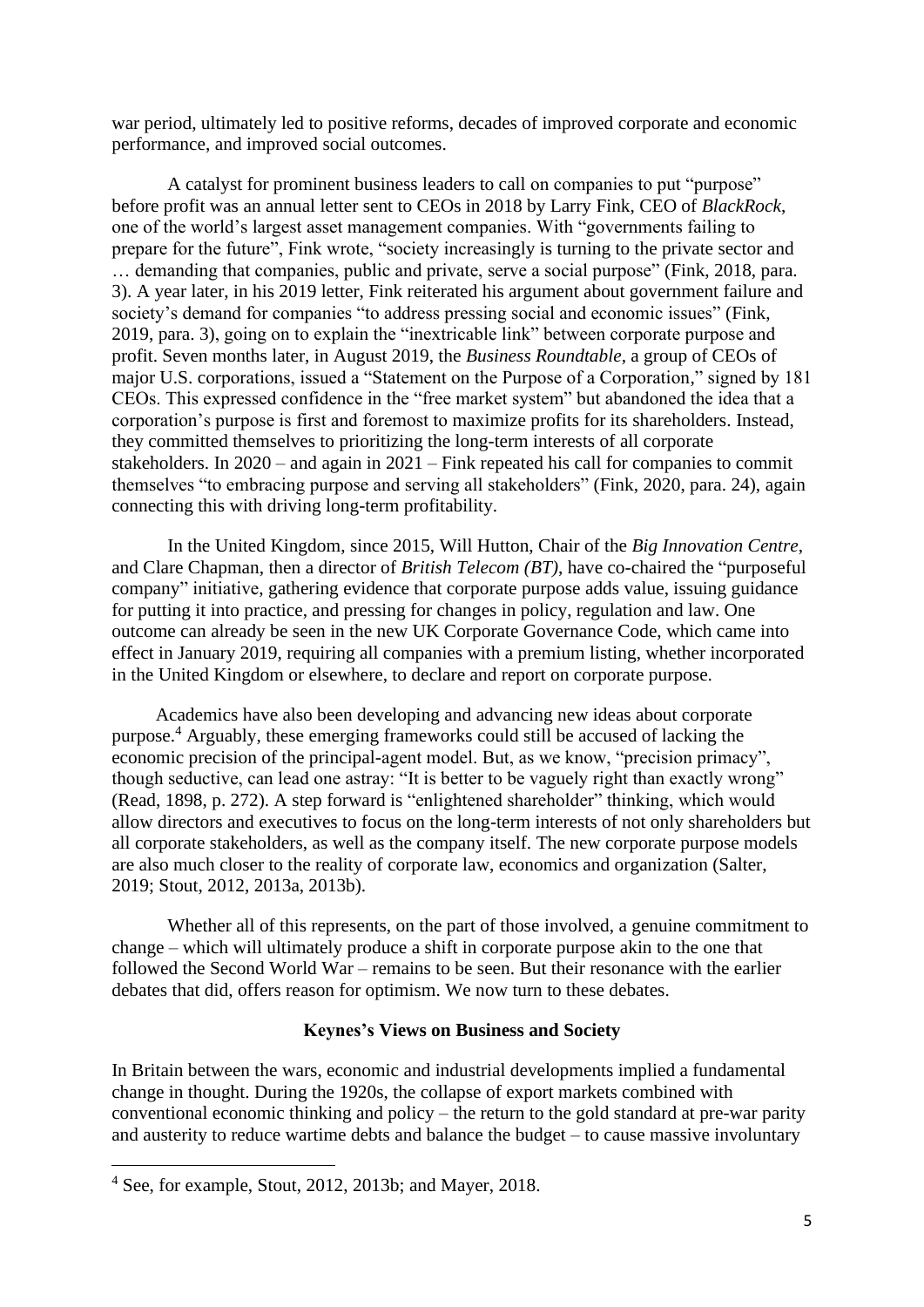war period, ultimately led to positive reforms, decades of improved corporate and economic performance, and improved social outcomes.

A catalyst for prominent business leaders to call on companies to put "purpose" before profit was an annual letter sent to CEOs in 2018 by Larry Fink, CEO of *BlackRock*, one of the world's largest asset management companies. With "governments failing to prepare for the future", Fink wrote, "society increasingly is turning to the private sector and … demanding that companies, public and private, serve a social purpose" (Fink, 2018, para. 3). A year later, in his 2019 letter, Fink reiterated his argument about government failure and society's demand for companies "to address pressing social and economic issues" (Fink, 2019, para. 3), going on to explain the "inextricable link" between corporate purpose and profit. Seven months later, in August 2019, the *Business Roundtable*, a group of CEOs of major U.S. corporations, issued a "Statement on the Purpose of a Corporation," signed by 181 CEOs. This expressed confidence in the "free market system" but abandoned the idea that a corporation's purpose is first and foremost to maximize profits for its shareholders. Instead, they committed themselves to prioritizing the long-term interests of all corporate stakeholders. In 2020 – and again in 2021 – Fink repeated his call for companies to commit themselves "to embracing purpose and serving all stakeholders" (Fink, 2020, para. 24), again connecting this with driving long-term profitability.

In the United Kingdom, since 2015, Will Hutton, Chair of the *Big Innovation Centre*, and Clare Chapman, then a director of *British Telecom (BT)*, have co-chaired the "purposeful company" initiative, gathering evidence that corporate purpose adds value, issuing guidance for putting it into practice, and pressing for changes in policy, regulation and law. One outcome can already be seen in the new UK Corporate Governance Code, which came into effect in January 2019, requiring all companies with a premium listing, whether incorporated in the United Kingdom or elsewhere, to declare and report on corporate purpose.

Academics have also been developing and advancing new ideas about corporate purpose.<sup>4</sup> Arguably, these emerging frameworks could still be accused of lacking the economic precision of the principal-agent model. But, as we know, "precision primacy", though seductive, can lead one astray: "It is better to be vaguely right than exactly wrong" (Read, 1898, p. 272). A step forward is "enlightened shareholder" thinking, which would allow directors and executives to focus on the long-term interests of not only shareholders but all corporate stakeholders, as well as the company itself. The new corporate purpose models are also much closer to the reality of corporate law, economics and organization (Salter, 2019; Stout, 2012, 2013a, 2013b).

Whether all of this represents, on the part of those involved, a genuine commitment to change – which will ultimately produce a shift in corporate purpose akin to the one that followed the Second World War – remains to be seen. But their resonance with the earlier debates that did, offers reason for optimism. We now turn to these debates.

## **Keynes's Views on Business and Society**

In Britain between the wars, economic and industrial developments implied a fundamental change in thought. During the 1920s, the collapse of export markets combined with conventional economic thinking and policy – the return to the gold standard at pre-war parity and austerity to reduce wartime debts and balance the budget – to cause massive involuntary

<sup>4</sup> See, for example, Stout, 2012, 2013b; and Mayer, 2018.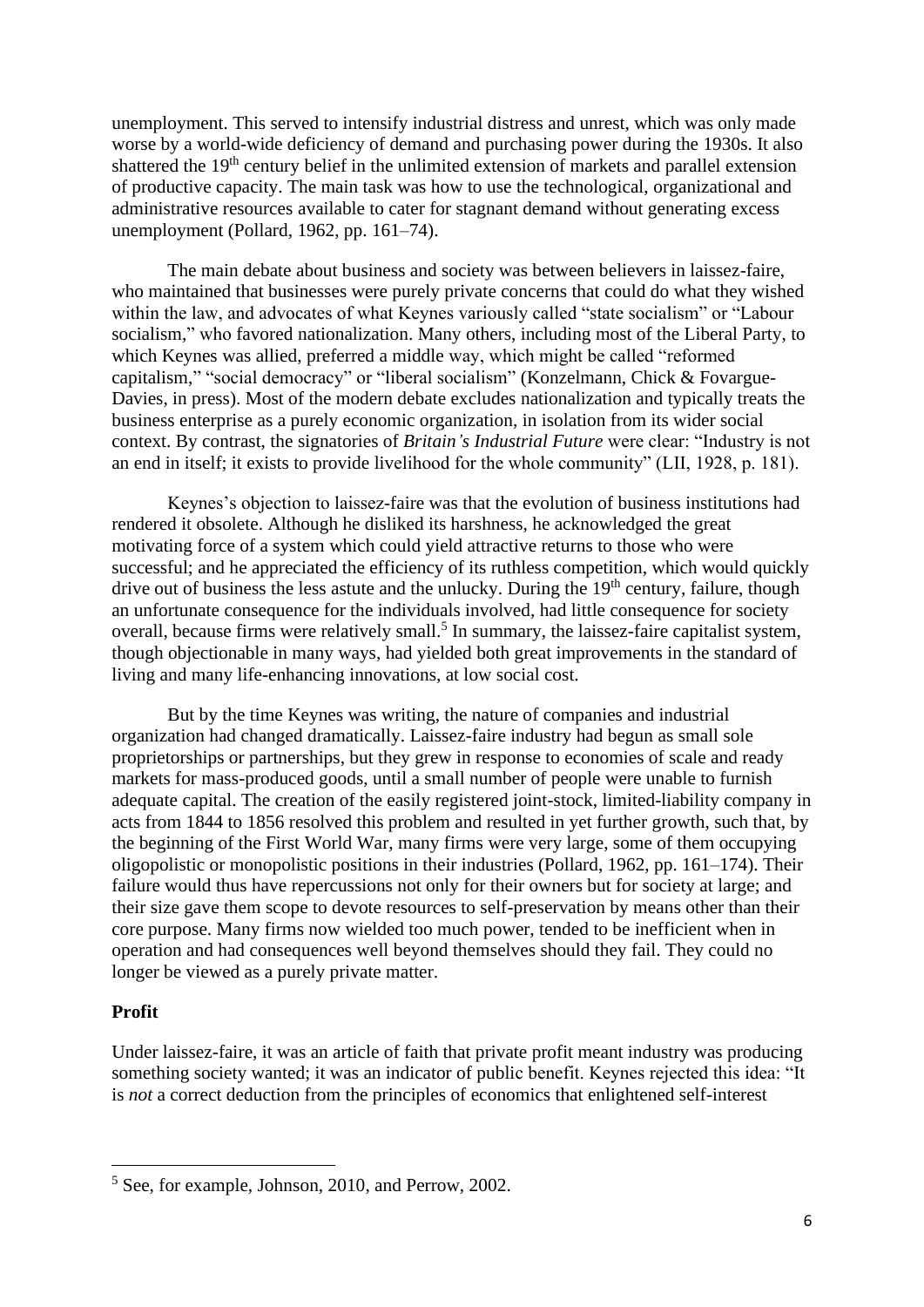unemployment. This served to intensify industrial distress and unrest, which was only made worse by a world-wide deficiency of demand and purchasing power during the 1930s. It also shattered the 19th century belief in the unlimited extension of markets and parallel extension of productive capacity. The main task was how to use the technological, organizational and administrative resources available to cater for stagnant demand without generating excess unemployment (Pollard, 1962, pp. 161–74).

The main debate about business and society was between believers in laissez-faire, who maintained that businesses were purely private concerns that could do what they wished within the law, and advocates of what Keynes variously called "state socialism" or "Labour socialism," who favored nationalization. Many others, including most of the Liberal Party, to which Keynes was allied, preferred a middle way, which might be called "reformed capitalism," "social democracy" or "liberal socialism" (Konzelmann, Chick & Fovargue-Davies, in press). Most of the modern debate excludes nationalization and typically treats the business enterprise as a purely economic organization, in isolation from its wider social context. By contrast, the signatories of *Britain's Industrial Future* were clear: "Industry is not an end in itself; it exists to provide livelihood for the whole community" (LII, 1928, p. 181).

Keynes's objection to laissez-faire was that the evolution of business institutions had rendered it obsolete. Although he disliked its harshness, he acknowledged the great motivating force of a system which could yield attractive returns to those who were successful; and he appreciated the efficiency of its ruthless competition, which would quickly drive out of business the less astute and the unlucky. During the 19<sup>th</sup> century, failure, though an unfortunate consequence for the individuals involved, had little consequence for society overall, because firms were relatively small.<sup>5</sup> In summary, the laissez-faire capitalist system, though objectionable in many ways, had yielded both great improvements in the standard of living and many life-enhancing innovations, at low social cost.

But by the time Keynes was writing, the nature of companies and industrial organization had changed dramatically. Laissez-faire industry had begun as small sole proprietorships or partnerships, but they grew in response to economies of scale and ready markets for mass-produced goods, until a small number of people were unable to furnish adequate capital. The creation of the easily registered joint-stock, limited-liability company in acts from 1844 to 1856 resolved this problem and resulted in yet further growth, such that, by the beginning of the First World War, many firms were very large, some of them occupying oligopolistic or monopolistic positions in their industries (Pollard, 1962, pp. 161–174). Their failure would thus have repercussions not only for their owners but for society at large; and their size gave them scope to devote resources to self-preservation by means other than their core purpose. Many firms now wielded too much power, tended to be inefficient when in operation and had consequences well beyond themselves should they fail. They could no longer be viewed as a purely private matter.

## **Profit**

Under laissez-faire, it was an article of faith that private profit meant industry was producing something society wanted; it was an indicator of public benefit. Keynes rejected this idea: "It is *not* a correct deduction from the principles of economics that enlightened self-interest

<sup>5</sup> See, for example, Johnson, 2010, and Perrow, 2002.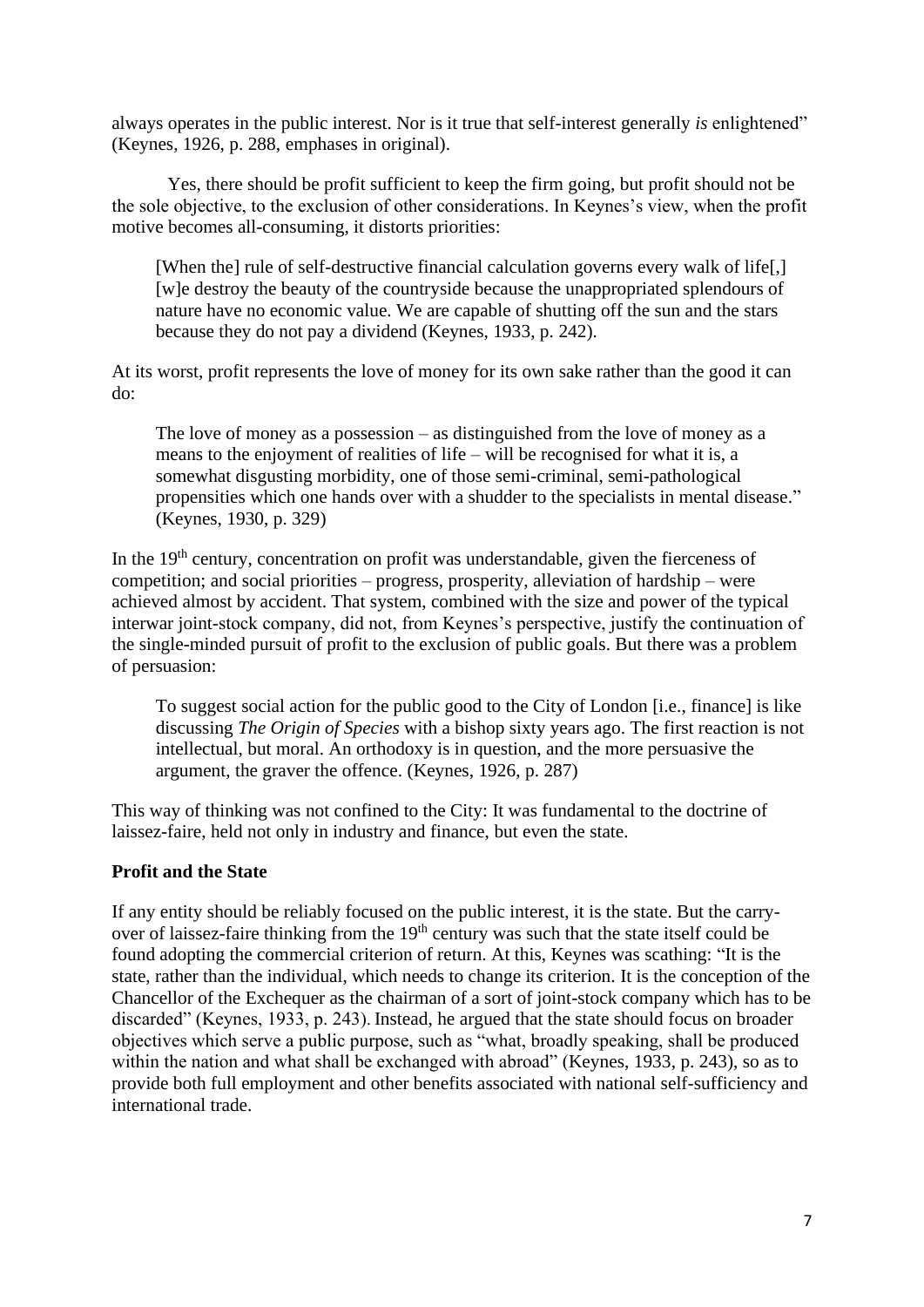always operates in the public interest. Nor is it true that self-interest generally *is* enlightened" (Keynes, 1926, p. 288, emphases in original).

Yes, there should be profit sufficient to keep the firm going, but profit should not be the sole objective, to the exclusion of other considerations. In Keynes's view, when the profit motive becomes all-consuming, it distorts priorities:

[When the] rule of self-destructive financial calculation governs every walk of life[,] [w]e destroy the beauty of the countryside because the unappropriated splendours of nature have no economic value. We are capable of shutting off the sun and the stars because they do not pay a dividend (Keynes, 1933, p. 242).

At its worst, profit represents the love of money for its own sake rather than the good it can do:

The love of money as a possession – as distinguished from the love of money as a means to the enjoyment of realities of life – will be recognised for what it is, a somewhat disgusting morbidity, one of those semi-criminal, semi-pathological propensities which one hands over with a shudder to the specialists in mental disease." (Keynes, 1930, p. 329)

In the  $19<sup>th</sup>$  century, concentration on profit was understandable, given the fierceness of competition; and social priorities – progress, prosperity, alleviation of hardship – were achieved almost by accident. That system, combined with the size and power of the typical interwar joint-stock company, did not, from Keynes's perspective, justify the continuation of the single-minded pursuit of profit to the exclusion of public goals. But there was a problem of persuasion:

To suggest social action for the public good to the City of London [i.e., finance] is like discussing *The Origin of Species* with a bishop sixty years ago. The first reaction is not intellectual, but moral. An orthodoxy is in question, and the more persuasive the argument, the graver the offence. (Keynes, 1926, p. 287)

This way of thinking was not confined to the City: It was fundamental to the doctrine of laissez-faire, held not only in industry and finance, but even the state.

# **Profit and the State**

If any entity should be reliably focused on the public interest, it is the state. But the carryover of laissez-faire thinking from the 19<sup>th</sup> century was such that the state itself could be found adopting the commercial criterion of return. At this, Keynes was scathing: "It is the state, rather than the individual, which needs to change its criterion. It is the conception of the Chancellor of the Exchequer as the chairman of a sort of joint-stock company which has to be discarded" (Keynes, 1933, p. 243). Instead, he argued that the state should focus on broader objectives which serve a public purpose, such as "what, broadly speaking, shall be produced within the nation and what shall be exchanged with abroad" (Keynes, 1933, p. 243), so as to provide both full employment and other benefits associated with national self-sufficiency and international trade.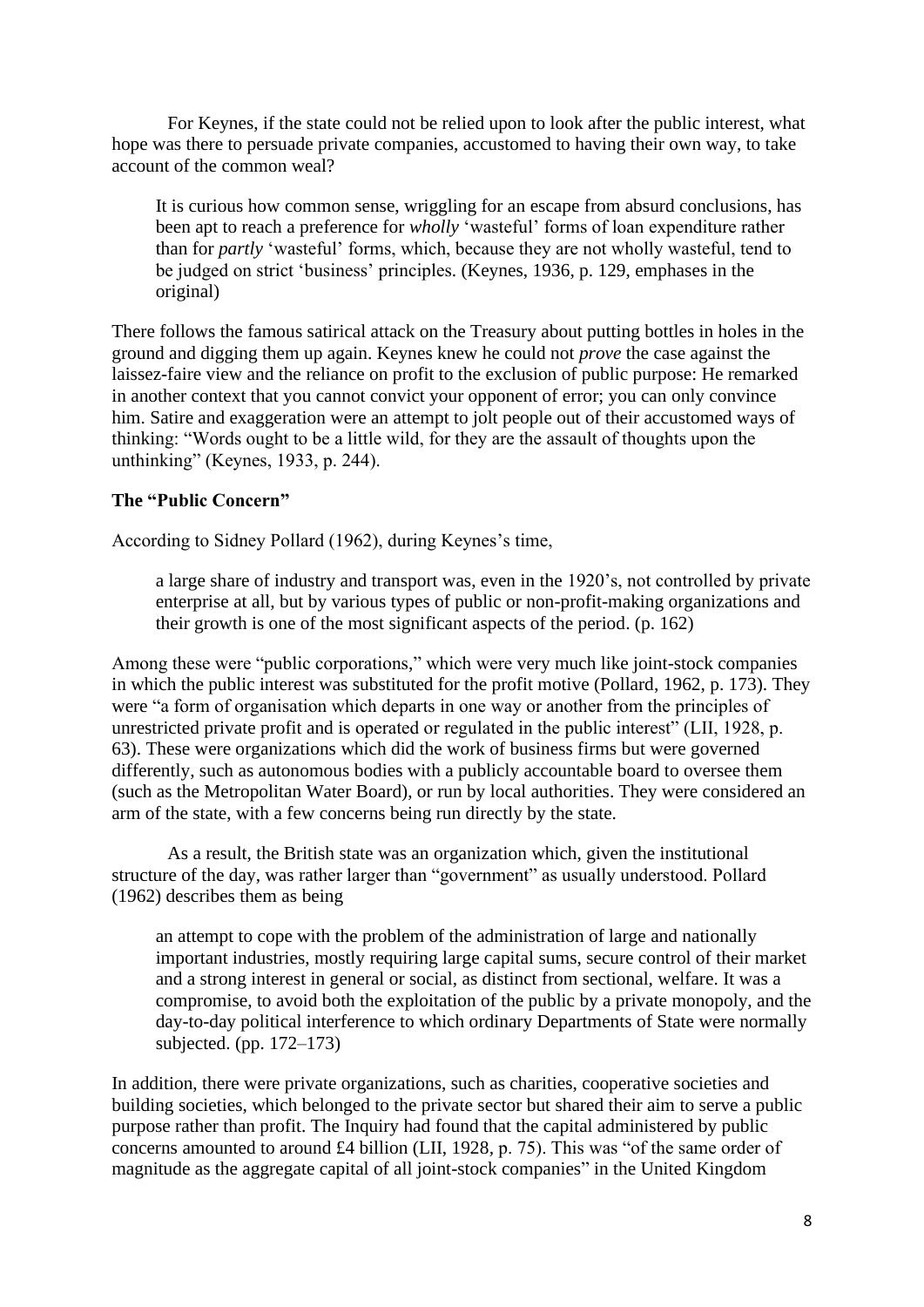For Keynes, if the state could not be relied upon to look after the public interest, what hope was there to persuade private companies, accustomed to having their own way, to take account of the common weal?

It is curious how common sense, wriggling for an escape from absurd conclusions, has been apt to reach a preference for *wholly* 'wasteful' forms of loan expenditure rather than for *partly* 'wasteful' forms, which, because they are not wholly wasteful, tend to be judged on strict 'business' principles. (Keynes, 1936, p. 129, emphases in the original)

There follows the famous satirical attack on the Treasury about putting bottles in holes in the ground and digging them up again. Keynes knew he could not *prove* the case against the laissez-faire view and the reliance on profit to the exclusion of public purpose: He remarked in another context that you cannot convict your opponent of error; you can only convince him. Satire and exaggeration were an attempt to jolt people out of their accustomed ways of thinking: "Words ought to be a little wild, for they are the assault of thoughts upon the unthinking" (Keynes, 1933, p. 244).

## **The "Public Concern"**

According to Sidney Pollard (1962), during Keynes's time,

a large share of industry and transport was, even in the 1920's, not controlled by private enterprise at all, but by various types of public or non-profit-making organizations and their growth is one of the most significant aspects of the period. (p. 162)

Among these were "public corporations," which were very much like joint-stock companies in which the public interest was substituted for the profit motive (Pollard, 1962, p. 173). They were "a form of organisation which departs in one way or another from the principles of unrestricted private profit and is operated or regulated in the public interest" (LII, 1928, p. 63). These were organizations which did the work of business firms but were governed differently, such as autonomous bodies with a publicly accountable board to oversee them (such as the Metropolitan Water Board), or run by local authorities. They were considered an arm of the state, with a few concerns being run directly by the state.

As a result, the British state was an organization which, given the institutional structure of the day, was rather larger than "government" as usually understood. Pollard (1962) describes them as being

an attempt to cope with the problem of the administration of large and nationally important industries, mostly requiring large capital sums, secure control of their market and a strong interest in general or social, as distinct from sectional, welfare. It was a compromise, to avoid both the exploitation of the public by a private monopoly, and the day-to-day political interference to which ordinary Departments of State were normally subjected. (pp. 172–173)

In addition, there were private organizations, such as charities, cooperative societies and building societies, which belonged to the private sector but shared their aim to serve a public purpose rather than profit. The Inquiry had found that the capital administered by public concerns amounted to around £4 billion (LII, 1928*,* p. 75). This was "of the same order of magnitude as the aggregate capital of all joint-stock companies" in the United Kingdom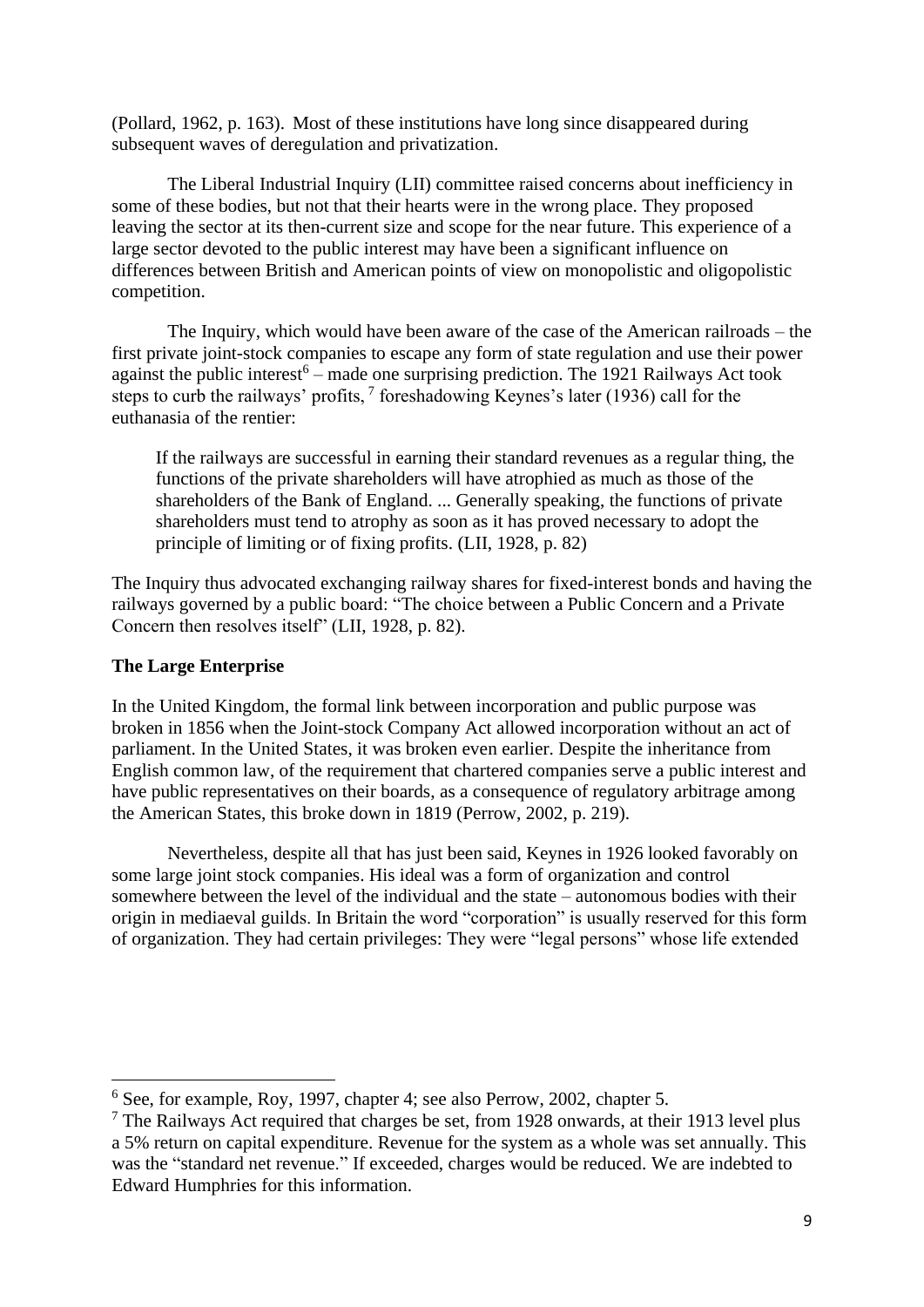(Pollard, 1962, p. 163). Most of these institutions have long since disappeared during subsequent waves of deregulation and privatization.

The Liberal Industrial Inquiry (LII) committee raised concerns about inefficiency in some of these bodies, but not that their hearts were in the wrong place. They proposed leaving the sector at its then-current size and scope for the near future. This experience of a large sector devoted to the public interest may have been a significant influence on differences between British and American points of view on monopolistic and oligopolistic competition.

The Inquiry, which would have been aware of the case of the American railroads – the first private joint-stock companies to escape any form of state regulation and use their power against the public interest<sup>6</sup> – made one surprising prediction. The 1921 Railways Act took steps to curb the railways' profits,  $7$  foreshadowing Keynes's later (1936) call for the euthanasia of the rentier:

If the railways are successful in earning their standard revenues as a regular thing, the functions of the private shareholders will have atrophied as much as those of the shareholders of the Bank of England. ... Generally speaking, the functions of private shareholders must tend to atrophy as soon as it has proved necessary to adopt the principle of limiting or of fixing profits. (LII, 1928, p. 82)

The Inquiry thus advocated exchanging railway shares for fixed-interest bonds and having the railways governed by a public board: "The choice between a Public Concern and a Private Concern then resolves itself" (LII, 1928, p. 82).

## **The Large Enterprise**

In the United Kingdom, the formal link between incorporation and public purpose was broken in 1856 when the Joint-stock Company Act allowed incorporation without an act of parliament. In the United States, it was broken even earlier. Despite the inheritance from English common law, of the requirement that chartered companies serve a public interest and have public representatives on their boards, as a consequence of regulatory arbitrage among the American States, this broke down in 1819 (Perrow, 2002, p. 219).

Nevertheless, despite all that has just been said, Keynes in 1926 looked favorably on some large joint stock companies. His ideal was a form of organization and control somewhere between the level of the individual and the state – autonomous bodies with their origin in mediaeval guilds. In Britain the word "corporation" is usually reserved for this form of organization. They had certain privileges: They were "legal persons" whose life extended

<sup>6</sup> See, for example, Roy, 1997, chapter 4; see also Perrow, 2002, chapter 5.

 $<sup>7</sup>$  The Railways Act required that charges be set, from 1928 onwards, at their 1913 level plus</sup> a 5% return on capital expenditure. Revenue for the system as a whole was set annually. This was the "standard net revenue." If exceeded, charges would be reduced. We are indebted to Edward Humphries for this information.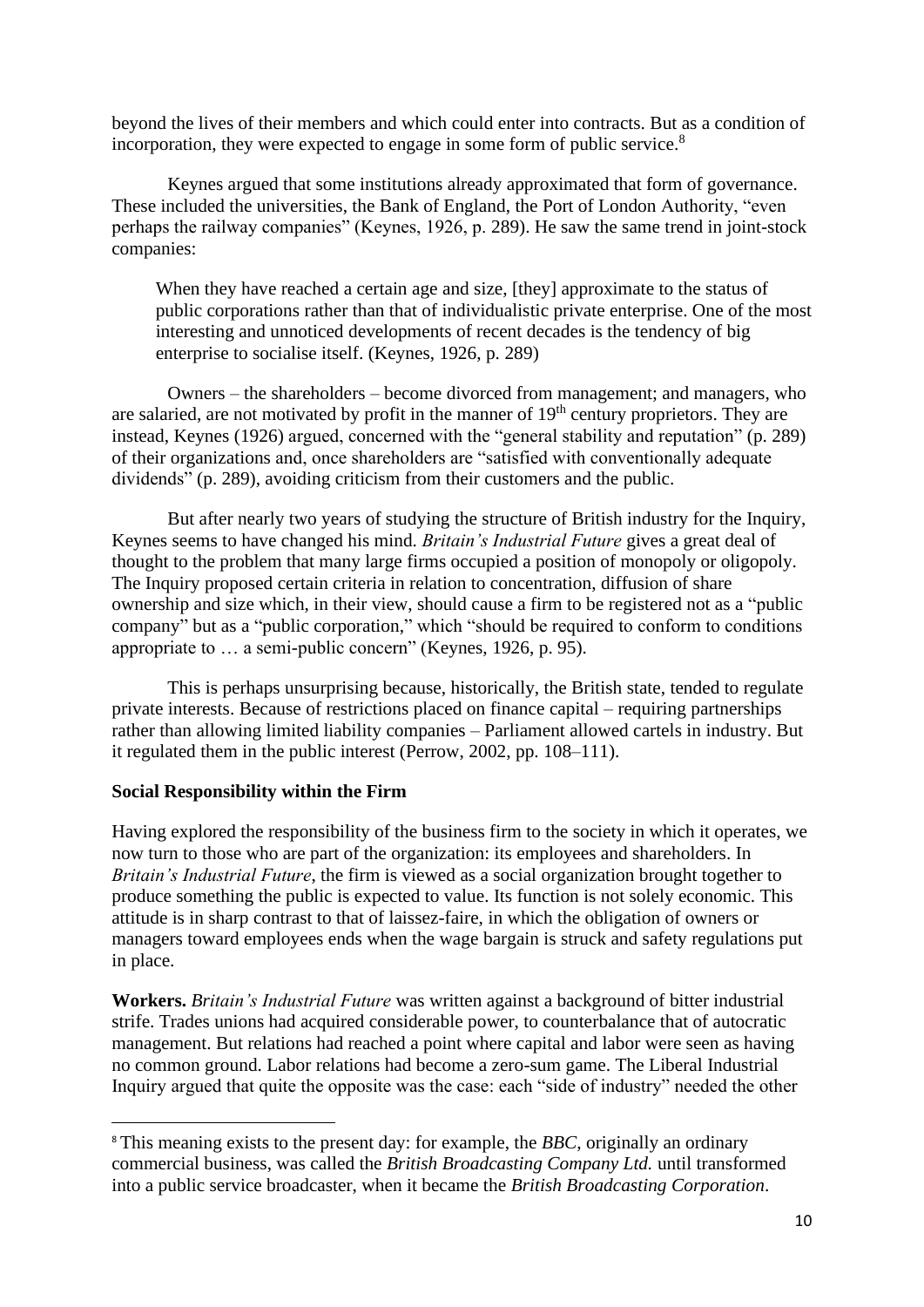beyond the lives of their members and which could enter into contracts. But as a condition of incorporation, they were expected to engage in some form of public service.<sup>8</sup>

Keynes argued that some institutions already approximated that form of governance. These included the universities, the Bank of England, the Port of London Authority, "even perhaps the railway companies" (Keynes, 1926, p. 289). He saw the same trend in joint-stock companies:

When they have reached a certain age and size, [they] approximate to the status of public corporations rather than that of individualistic private enterprise. One of the most interesting and unnoticed developments of recent decades is the tendency of big enterprise to socialise itself. (Keynes, 1926, p. 289)

Owners – the shareholders – become divorced from management; and managers, who are salaried, are not motivated by profit in the manner of 19<sup>th</sup> century proprietors. They are instead, Keynes (1926) argued, concerned with the "general stability and reputation" (p. 289) of their organizations and, once shareholders are "satisfied with conventionally adequate dividends" (p. 289), avoiding criticism from their customers and the public.

But after nearly two years of studying the structure of British industry for the Inquiry, Keynes seems to have changed his mind. *Britain's Industrial Future* gives a great deal of thought to the problem that many large firms occupied a position of monopoly or oligopoly. The Inquiry proposed certain criteria in relation to concentration, diffusion of share ownership and size which, in their view, should cause a firm to be registered not as a "public company" but as a "public corporation," which "should be required to conform to conditions appropriate to … a semi-public concern" (Keynes, 1926, p. 95).

This is perhaps unsurprising because, historically, the British state, tended to regulate private interests. Because of restrictions placed on finance capital – requiring partnerships rather than allowing limited liability companies – Parliament allowed cartels in industry. But it regulated them in the public interest (Perrow, 2002, pp. 108–111).

## **Social Responsibility within the Firm**

Having explored the responsibility of the business firm to the society in which it operates, we now turn to those who are part of the organization: its employees and shareholders. In *Britain's Industrial Future*, the firm is viewed as a social organization brought together to produce something the public is expected to value. Its function is not solely economic. This attitude is in sharp contrast to that of laissez-faire, in which the obligation of owners or managers toward employees ends when the wage bargain is struck and safety regulations put in place.

**Workers.** *Britain's Industrial Future* was written against a background of bitter industrial strife. Trades unions had acquired considerable power, to counterbalance that of autocratic management. But relations had reached a point where capital and labor were seen as having no common ground. Labor relations had become a zero-sum game. The Liberal Industrial Inquiry argued that quite the opposite was the case: each "side of industry" needed the other

<sup>&</sup>lt;sup>8</sup> This meaning exists to the present day: for example, the *BBC*, originally an ordinary commercial business, was called the *British Broadcasting Company Ltd.* until transformed into a public service broadcaster, when it became the *British Broadcasting Corporation*.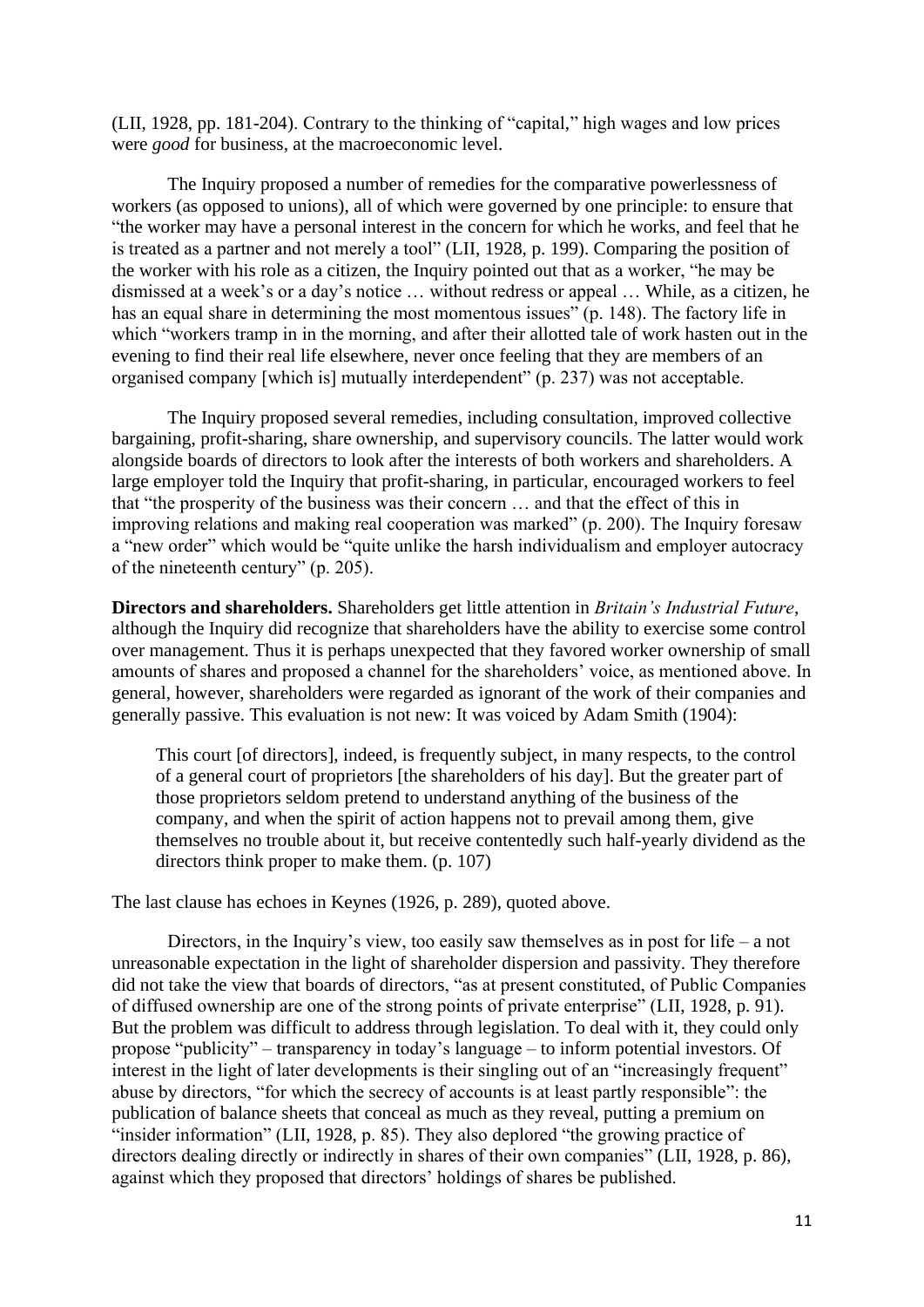(LII, 1928, pp. 181-204). Contrary to the thinking of "capital," high wages and low prices were *good* for business, at the macroeconomic level.

The Inquiry proposed a number of remedies for the comparative powerlessness of workers (as opposed to unions), all of which were governed by one principle: to ensure that "the worker may have a personal interest in the concern for which he works, and feel that he is treated as a partner and not merely a tool" (LII, 1928, p. 199). Comparing the position of the worker with his role as a citizen, the Inquiry pointed out that as a worker, "he may be dismissed at a week's or a day's notice … without redress or appeal … While, as a citizen, he has an equal share in determining the most momentous issues" (p. 148). The factory life in which "workers tramp in in the morning, and after their allotted tale of work hasten out in the evening to find their real life elsewhere, never once feeling that they are members of an organised company [which is] mutually interdependent" (p. 237) was not acceptable.

The Inquiry proposed several remedies, including consultation, improved collective bargaining, profit-sharing, share ownership, and supervisory councils. The latter would work alongside boards of directors to look after the interests of both workers and shareholders. A large employer told the Inquiry that profit-sharing, in particular, encouraged workers to feel that "the prosperity of the business was their concern … and that the effect of this in improving relations and making real cooperation was marked" (p. 200). The Inquiry foresaw a "new order" which would be "quite unlike the harsh individualism and employer autocracy of the nineteenth century" (p. 205).

**Directors and shareholders.** Shareholders get little attention in *Britain's Industrial Future*, although the Inquiry did recognize that shareholders have the ability to exercise some control over management. Thus it is perhaps unexpected that they favored worker ownership of small amounts of shares and proposed a channel for the shareholders' voice, as mentioned above. In general, however, shareholders were regarded as ignorant of the work of their companies and generally passive. This evaluation is not new: It was voiced by Adam Smith (1904):

This court [of directors], indeed, is frequently subject, in many respects, to the control of a general court of proprietors [the shareholders of his day]. But the greater part of those proprietors seldom pretend to understand anything of the business of the company, and when the spirit of action happens not to prevail among them, give themselves no trouble about it, but receive contentedly such half-yearly dividend as the directors think proper to make them. (p. 107)

The last clause has echoes in Keynes (1926, p. 289), quoted above.

Directors, in the Inquiry's view, too easily saw themselves as in post for life – a not unreasonable expectation in the light of shareholder dispersion and passivity. They therefore did not take the view that boards of directors, "as at present constituted, of Public Companies of diffused ownership are one of the strong points of private enterprise" (LII, 1928, p. 91). But the problem was difficult to address through legislation. To deal with it, they could only propose "publicity" – transparency in today's language – to inform potential investors. Of interest in the light of later developments is their singling out of an "increasingly frequent" abuse by directors, "for which the secrecy of accounts is at least partly responsible": the publication of balance sheets that conceal as much as they reveal, putting a premium on "insider information" (LII, 1928, p. 85). They also deplored "the growing practice of directors dealing directly or indirectly in shares of their own companies" (LII, 1928, p. 86), against which they proposed that directors' holdings of shares be published.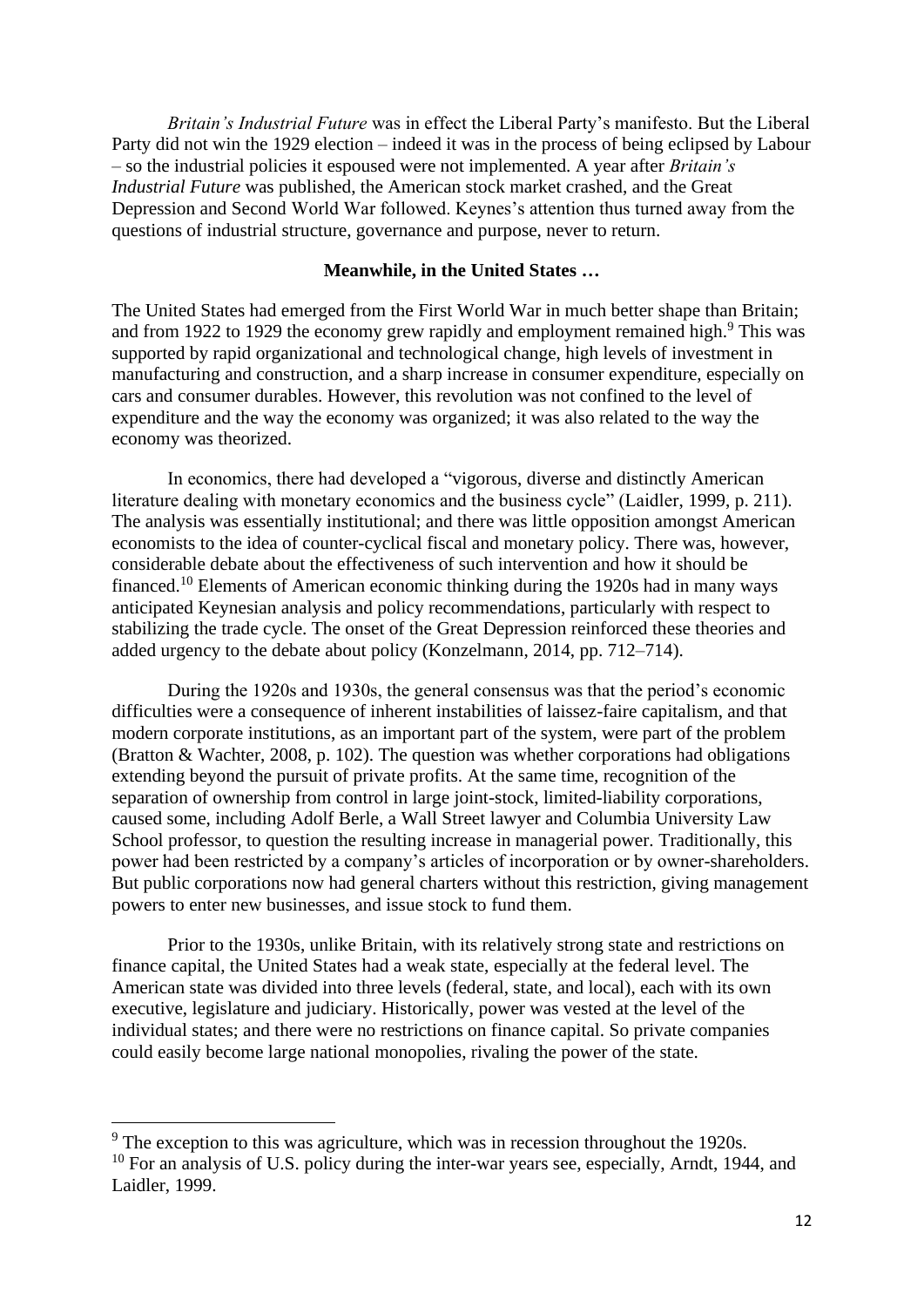*Britain's Industrial Future* was in effect the Liberal Party's manifesto. But the Liberal Party did not win the 1929 election – indeed it was in the process of being eclipsed by Labour – so the industrial policies it espoused were not implemented. A year after *Britain's Industrial Future* was published, the American stock market crashed, and the Great Depression and Second World War followed. Keynes's attention thus turned away from the questions of industrial structure, governance and purpose, never to return.

#### **Meanwhile, in the United States …**

The United States had emerged from the First World War in much better shape than Britain; and from 1922 to 1929 the economy grew rapidly and employment remained high.<sup>9</sup> This was supported by rapid organizational and technological change, high levels of investment in manufacturing and construction, and a sharp increase in consumer expenditure, especially on cars and consumer durables. However, this revolution was not confined to the level of expenditure and the way the economy was organized; it was also related to the way the economy was theorized.

In economics, there had developed a "vigorous, diverse and distinctly American literature dealing with monetary economics and the business cycle" (Laidler, 1999, p. 211). The analysis was essentially institutional; and there was little opposition amongst American economists to the idea of counter-cyclical fiscal and monetary policy. There was, however, considerable debate about the effectiveness of such intervention and how it should be financed.<sup>10</sup> Elements of American economic thinking during the 1920s had in many ways anticipated Keynesian analysis and policy recommendations, particularly with respect to stabilizing the trade cycle. The onset of the Great Depression reinforced these theories and added urgency to the debate about policy (Konzelmann, 2014, pp. 712–714).

During the 1920s and 1930s, the general consensus was that the period's economic difficulties were a consequence of inherent instabilities of laissez-faire capitalism, and that modern corporate institutions, as an important part of the system, were part of the problem (Bratton & Wachter, 2008, p. 102). The question was whether corporations had obligations extending beyond the pursuit of private profits. At the same time, recognition of the separation of ownership from control in large joint-stock, limited-liability corporations, caused some, including Adolf Berle, a Wall Street lawyer and Columbia University Law School professor, to question the resulting increase in managerial power. Traditionally, this power had been restricted by a company's articles of incorporation or by owner-shareholders. But public corporations now had general charters without this restriction, giving management powers to enter new businesses, and issue stock to fund them.

Prior to the 1930s, unlike Britain, with its relatively strong state and restrictions on finance capital, the United States had a weak state, especially at the federal level. The American state was divided into three levels (federal, state, and local), each with its own executive, legislature and judiciary. Historically, power was vested at the level of the individual states; and there were no restrictions on finance capital. So private companies could easily become large national monopolies, rivaling the power of the state.

<sup>&</sup>lt;sup>9</sup> The exception to this was agriculture, which was in recession throughout the 1920s.  $10$  For an analysis of U.S. policy during the inter-war years see, especially, Arndt, 1944, and Laidler, 1999.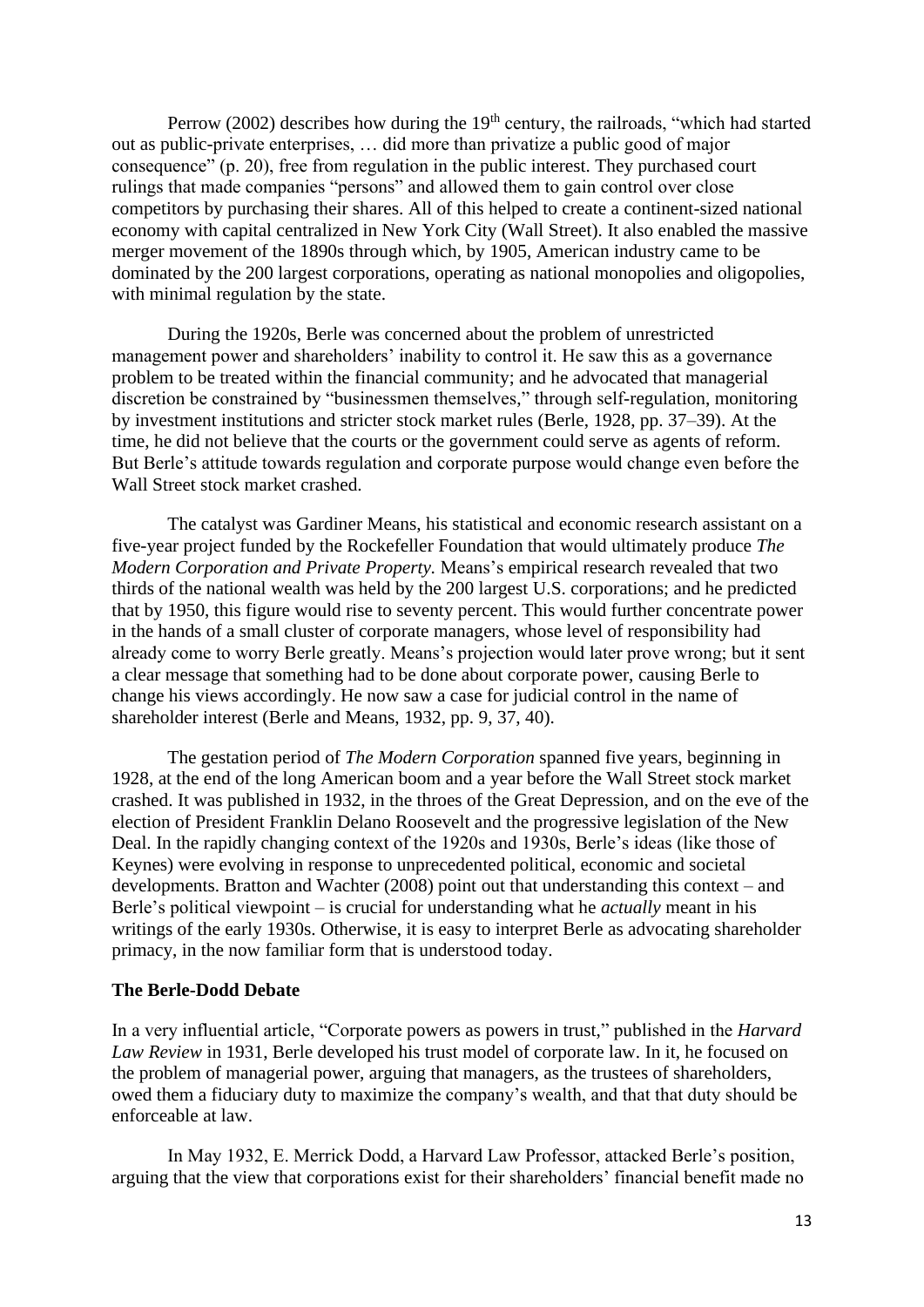Perrow (2002) describes how during the  $19<sup>th</sup>$  century, the railroads, "which had started out as public-private enterprises, … did more than privatize a public good of major consequence" (p. 20), free from regulation in the public interest. They purchased court rulings that made companies "persons" and allowed them to gain control over close competitors by purchasing their shares. All of this helped to create a continent-sized national economy with capital centralized in New York City (Wall Street). It also enabled the massive merger movement of the 1890s through which, by 1905, American industry came to be dominated by the 200 largest corporations, operating as national monopolies and oligopolies, with minimal regulation by the state.

During the 1920s, Berle was concerned about the problem of unrestricted management power and shareholders' inability to control it. He saw this as a governance problem to be treated within the financial community; and he advocated that managerial discretion be constrained by "businessmen themselves," through self-regulation, monitoring by investment institutions and stricter stock market rules (Berle, 1928, pp. 37–39). At the time, he did not believe that the courts or the government could serve as agents of reform. But Berle's attitude towards regulation and corporate purpose would change even before the Wall Street stock market crashed.

The catalyst was Gardiner Means, his statistical and economic research assistant on a five-year project funded by the Rockefeller Foundation that would ultimately produce *The Modern Corporation and Private Property.* Means's empirical research revealed that two thirds of the national wealth was held by the 200 largest U.S. corporations; and he predicted that by 1950, this figure would rise to seventy percent. This would further concentrate power in the hands of a small cluster of corporate managers, whose level of responsibility had already come to worry Berle greatly. Means's projection would later prove wrong; but it sent a clear message that something had to be done about corporate power, causing Berle to change his views accordingly. He now saw a case for judicial control in the name of shareholder interest (Berle and Means, 1932, pp. 9, 37, 40).

The gestation period of *The Modern Corporation* spanned five years, beginning in 1928, at the end of the long American boom and a year before the Wall Street stock market crashed. It was published in 1932, in the throes of the Great Depression, and on the eve of the election of President Franklin Delano Roosevelt and the progressive legislation of the New Deal. In the rapidly changing context of the 1920s and 1930s, Berle's ideas (like those of Keynes) were evolving in response to unprecedented political, economic and societal developments. Bratton and Wachter (2008) point out that understanding this context – and Berle's political viewpoint – is crucial for understanding what he *actually* meant in his writings of the early 1930s. Otherwise, it is easy to interpret Berle as advocating shareholder primacy, in the now familiar form that is understood today.

#### **The Berle-Dodd Debate**

In a very influential article, "Corporate powers as powers in trust," published in the *Harvard Law Review* in 1931, Berle developed his trust model of corporate law. In it, he focused on the problem of managerial power, arguing that managers, as the trustees of shareholders, owed them a fiduciary duty to maximize the company's wealth, and that that duty should be enforceable at law.

In May 1932, E. Merrick Dodd, a Harvard Law Professor, attacked Berle's position, arguing that the view that corporations exist for their shareholders' financial benefit made no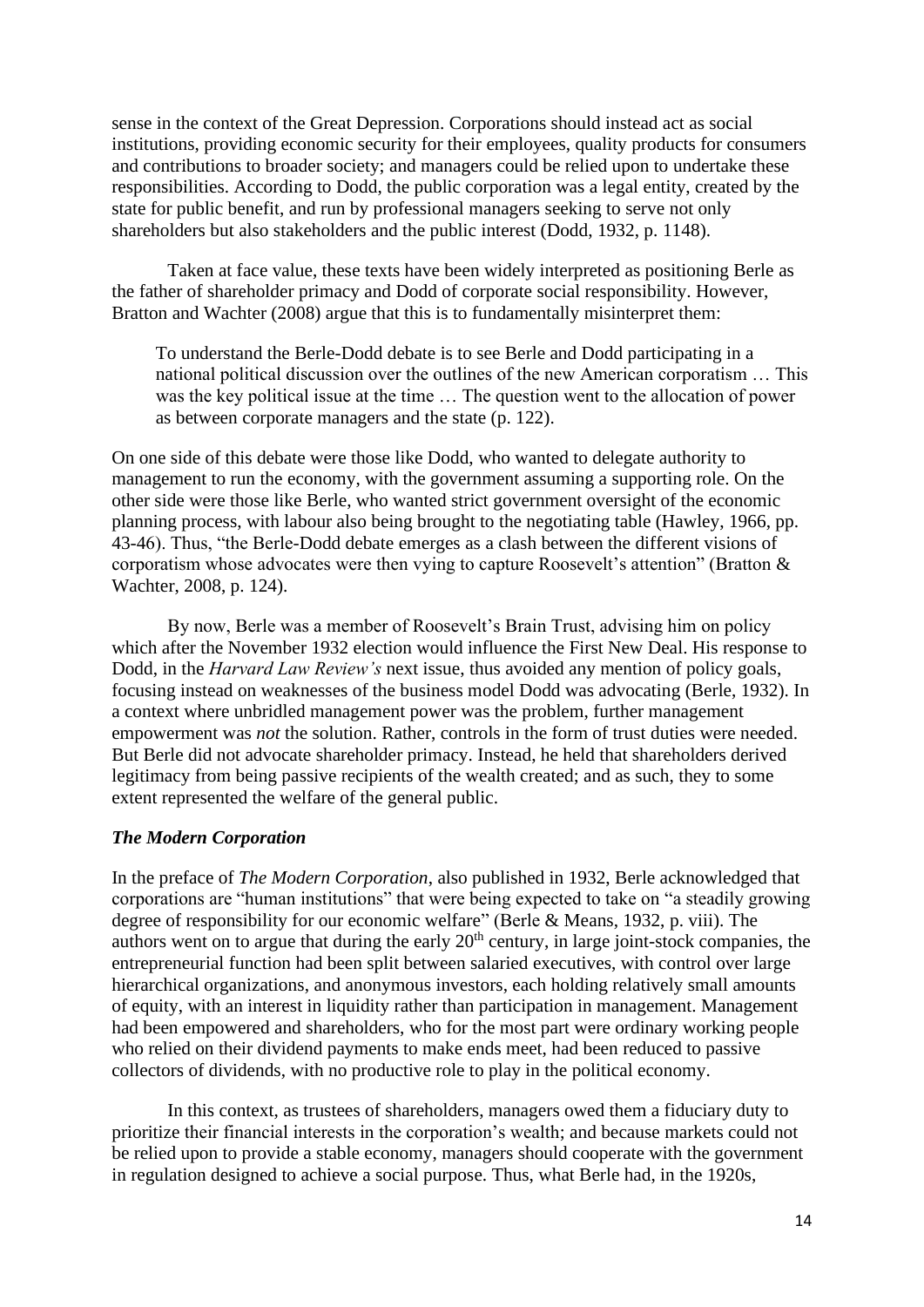sense in the context of the Great Depression. Corporations should instead act as social institutions, providing economic security for their employees, quality products for consumers and contributions to broader society; and managers could be relied upon to undertake these responsibilities. According to Dodd, the public corporation was a legal entity, created by the state for public benefit, and run by professional managers seeking to serve not only shareholders but also stakeholders and the public interest (Dodd, 1932, p. 1148).

Taken at face value, these texts have been widely interpreted as positioning Berle as the father of shareholder primacy and Dodd of corporate social responsibility. However, Bratton and Wachter (2008) argue that this is to fundamentally misinterpret them:

To understand the Berle-Dodd debate is to see Berle and Dodd participating in a national political discussion over the outlines of the new American corporatism … This was the key political issue at the time … The question went to the allocation of power as between corporate managers and the state (p. 122).

On one side of this debate were those like Dodd, who wanted to delegate authority to management to run the economy, with the government assuming a supporting role. On the other side were those like Berle, who wanted strict government oversight of the economic planning process, with labour also being brought to the negotiating table (Hawley, 1966, pp. 43-46). Thus, "the Berle-Dodd debate emerges as a clash between the different visions of corporatism whose advocates were then vying to capture Roosevelt's attention" (Bratton & Wachter, 2008, p. 124).

By now, Berle was a member of Roosevelt's Brain Trust, advising him on policy which after the November 1932 election would influence the First New Deal. His response to Dodd, in the *Harvard Law Review's* next issue, thus avoided any mention of policy goals, focusing instead on weaknesses of the business model Dodd was advocating (Berle, 1932). In a context where unbridled management power was the problem, further management empowerment was *not* the solution. Rather, controls in the form of trust duties were needed. But Berle did not advocate shareholder primacy. Instead, he held that shareholders derived legitimacy from being passive recipients of the wealth created; and as such, they to some extent represented the welfare of the general public.

## *The Modern Corporation*

In the preface of *The Modern Corporation*, also published in 1932, Berle acknowledged that corporations are "human institutions" that were being expected to take on "a steadily growing degree of responsibility for our economic welfare" (Berle & Means, 1932, p. viii). The authors went on to argue that during the early  $20<sup>th</sup>$  century, in large joint-stock companies, the entrepreneurial function had been split between salaried executives, with control over large hierarchical organizations, and anonymous investors, each holding relatively small amounts of equity, with an interest in liquidity rather than participation in management. Management had been empowered and shareholders, who for the most part were ordinary working people who relied on their dividend payments to make ends meet, had been reduced to passive collectors of dividends, with no productive role to play in the political economy.

In this context, as trustees of shareholders, managers owed them a fiduciary duty to prioritize their financial interests in the corporation's wealth; and because markets could not be relied upon to provide a stable economy, managers should cooperate with the government in regulation designed to achieve a social purpose. Thus, what Berle had, in the 1920s,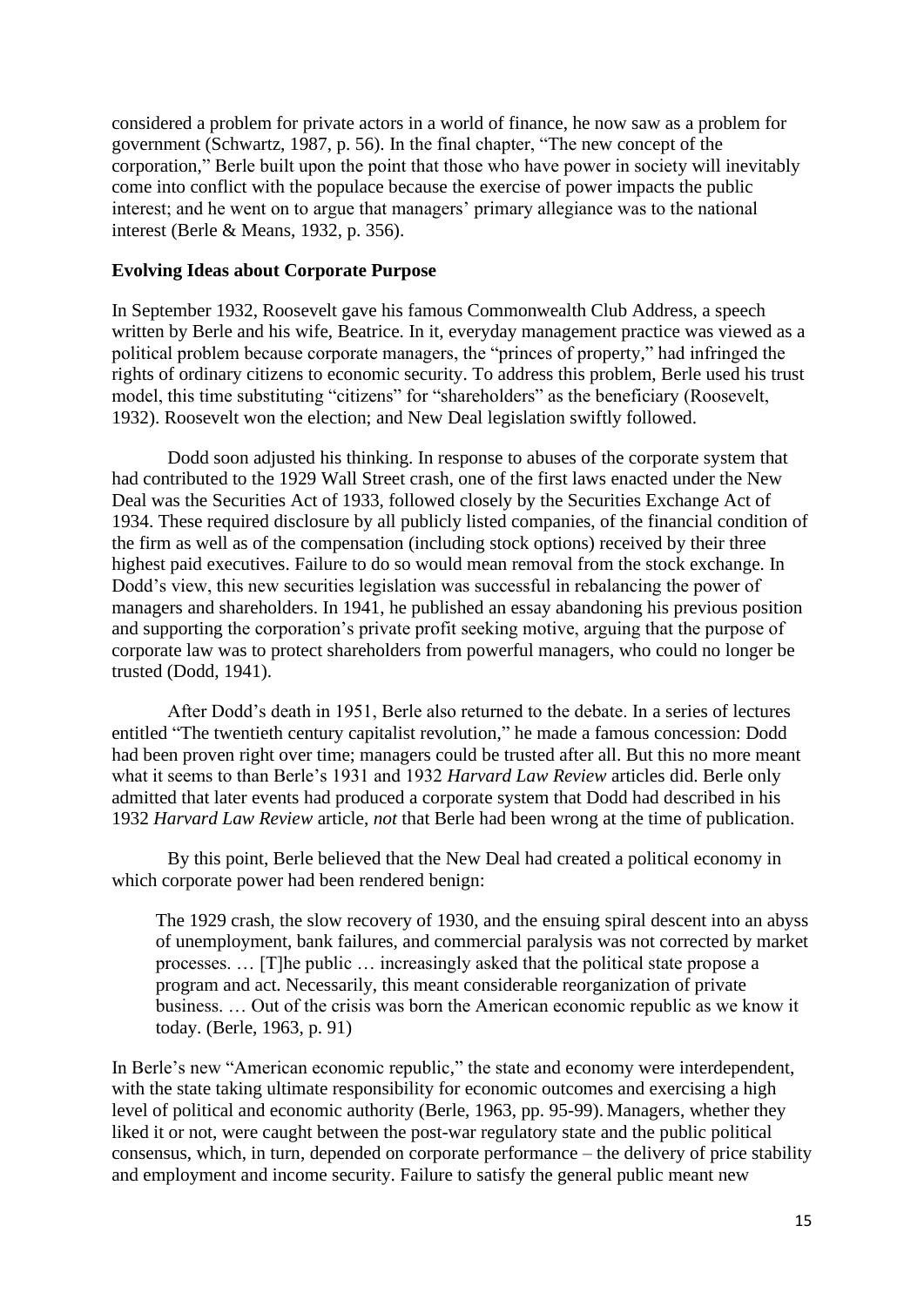considered a problem for private actors in a world of finance, he now saw as a problem for government (Schwartz, 1987, p. 56). In the final chapter, "The new concept of the corporation," Berle built upon the point that those who have power in society will inevitably come into conflict with the populace because the exercise of power impacts the public interest; and he went on to argue that managers' primary allegiance was to the national interest (Berle & Means, 1932, p. 356).

## **Evolving Ideas about Corporate Purpose**

In September 1932, Roosevelt gave his famous Commonwealth Club Address, a speech written by Berle and his wife, Beatrice. In it, everyday management practice was viewed as a political problem because corporate managers, the "princes of property," had infringed the rights of ordinary citizens to economic security. To address this problem, Berle used his trust model, this time substituting "citizens" for "shareholders" as the beneficiary (Roosevelt, 1932). Roosevelt won the election; and New Deal legislation swiftly followed.

Dodd soon adjusted his thinking. In response to abuses of the corporate system that had contributed to the 1929 Wall Street crash, one of the first laws enacted under the New Deal was the Securities Act of 1933, followed closely by the Securities Exchange Act of 1934. These required disclosure by all publicly listed companies, of the financial condition of the firm as well as of the compensation (including stock options) received by their three highest paid executives. Failure to do so would mean removal from the stock exchange. In Dodd's view, this new securities legislation was successful in rebalancing the power of managers and shareholders. In 1941, he published an essay abandoning his previous position and supporting the corporation's private profit seeking motive, arguing that the purpose of corporate law was to protect shareholders from powerful managers, who could no longer be trusted (Dodd, 1941).

After Dodd's death in 1951, Berle also returned to the debate. In a series of lectures entitled "The twentieth century capitalist revolution," he made a famous concession: Dodd had been proven right over time; managers could be trusted after all. But this no more meant what it seems to than Berle's 1931 and 1932 *Harvard Law Review* articles did. Berle only admitted that later events had produced a corporate system that Dodd had described in his 1932 *Harvard Law Review* article, *not* that Berle had been wrong at the time of publication.

By this point, Berle believed that the New Deal had created a political economy in which corporate power had been rendered benign:

The 1929 crash, the slow recovery of 1930, and the ensuing spiral descent into an abyss of unemployment, bank failures, and commercial paralysis was not corrected by market processes. … [T]he public … increasingly asked that the political state propose a program and act. Necessarily, this meant considerable reorganization of private business. … Out of the crisis was born the American economic republic as we know it today. (Berle, 1963, p. 91)

In Berle's new "American economic republic," the state and economy were interdependent, with the state taking ultimate responsibility for economic outcomes and exercising a high level of political and economic authority (Berle, 1963, pp. 95-99). Managers, whether they liked it or not, were caught between the post-war regulatory state and the public political consensus, which, in turn, depended on corporate performance – the delivery of price stability and employment and income security. Failure to satisfy the general public meant new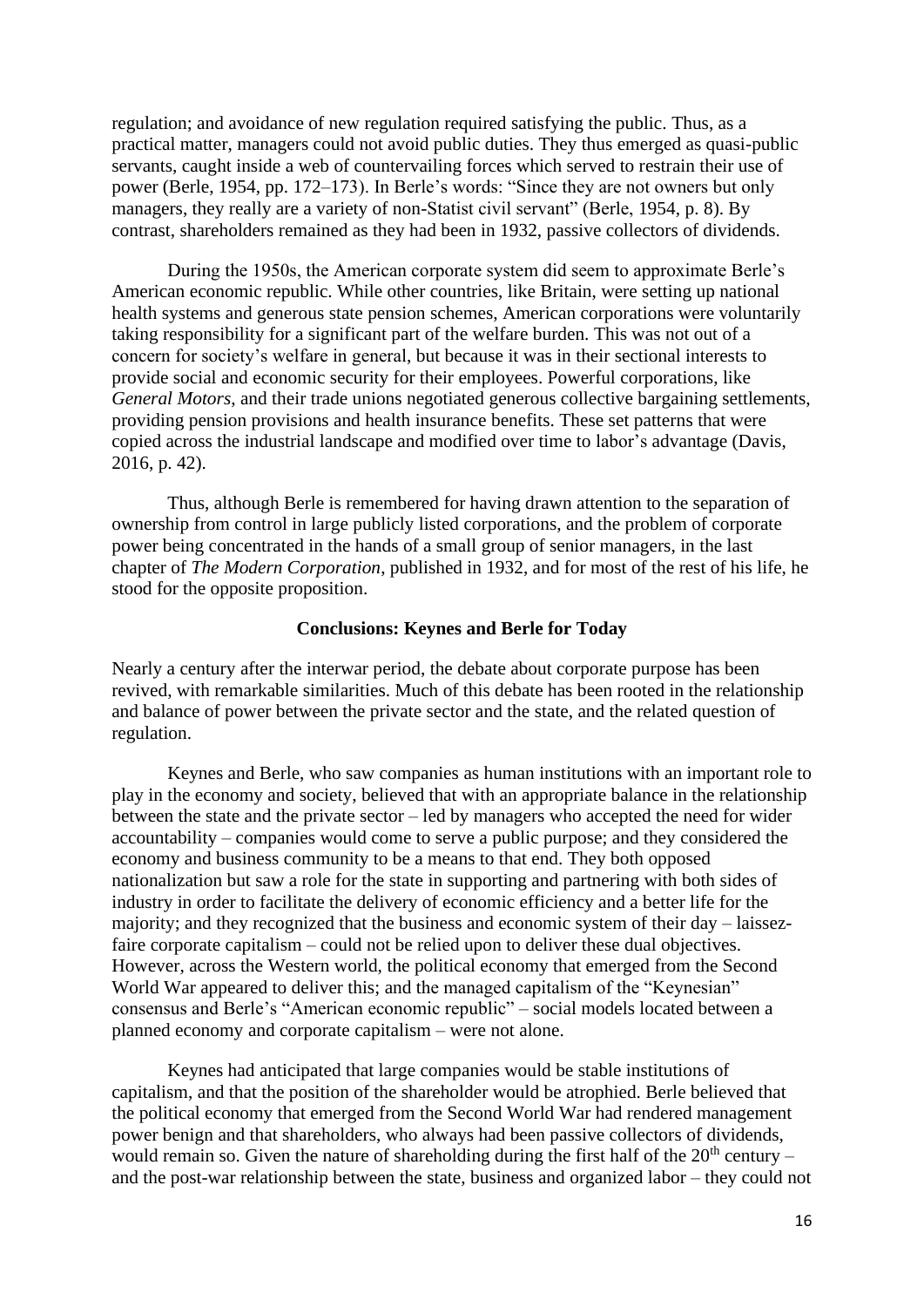regulation; and avoidance of new regulation required satisfying the public. Thus, as a practical matter, managers could not avoid public duties. They thus emerged as quasi-public servants, caught inside a web of countervailing forces which served to restrain their use of power (Berle, 1954, pp. 172–173). In Berle's words: "Since they are not owners but only managers, they really are a variety of non-Statist civil servant" (Berle, 1954, p. 8). By contrast, shareholders remained as they had been in 1932, passive collectors of dividends.

During the 1950s, the American corporate system did seem to approximate Berle's American economic republic. While other countries, like Britain, were setting up national health systems and generous state pension schemes, American corporations were voluntarily taking responsibility for a significant part of the welfare burden. This was not out of a concern for society's welfare in general, but because it was in their sectional interests to provide social and economic security for their employees. Powerful corporations, like *General Motors*, and their trade unions negotiated generous collective bargaining settlements, providing pension provisions and health insurance benefits. These set patterns that were copied across the industrial landscape and modified over time to labor's advantage (Davis, 2016, p. 42).

Thus, although Berle is remembered for having drawn attention to the separation of ownership from control in large publicly listed corporations, and the problem of corporate power being concentrated in the hands of a small group of senior managers, in the last chapter of *The Modern Corporation*, published in 1932, and for most of the rest of his life, he stood for the opposite proposition.

#### **Conclusions: Keynes and Berle for Today**

Nearly a century after the interwar period, the debate about corporate purpose has been revived, with remarkable similarities. Much of this debate has been rooted in the relationship and balance of power between the private sector and the state, and the related question of regulation.

Keynes and Berle, who saw companies as human institutions with an important role to play in the economy and society, believed that with an appropriate balance in the relationship between the state and the private sector – led by managers who accepted the need for wider accountability – companies would come to serve a public purpose; and they considered the economy and business community to be a means to that end. They both opposed nationalization but saw a role for the state in supporting and partnering with both sides of industry in order to facilitate the delivery of economic efficiency and a better life for the majority; and they recognized that the business and economic system of their day – laissezfaire corporate capitalism – could not be relied upon to deliver these dual objectives. However, across the Western world, the political economy that emerged from the Second World War appeared to deliver this; and the managed capitalism of the "Keynesian" consensus and Berle's "American economic republic" – social models located between a planned economy and corporate capitalism – were not alone.

Keynes had anticipated that large companies would be stable institutions of capitalism, and that the position of the shareholder would be atrophied. Berle believed that the political economy that emerged from the Second World War had rendered management power benign and that shareholders, who always had been passive collectors of dividends, would remain so. Given the nature of shareholding during the first half of the  $20<sup>th</sup>$  century – and the post-war relationship between the state, business and organized labor – they could not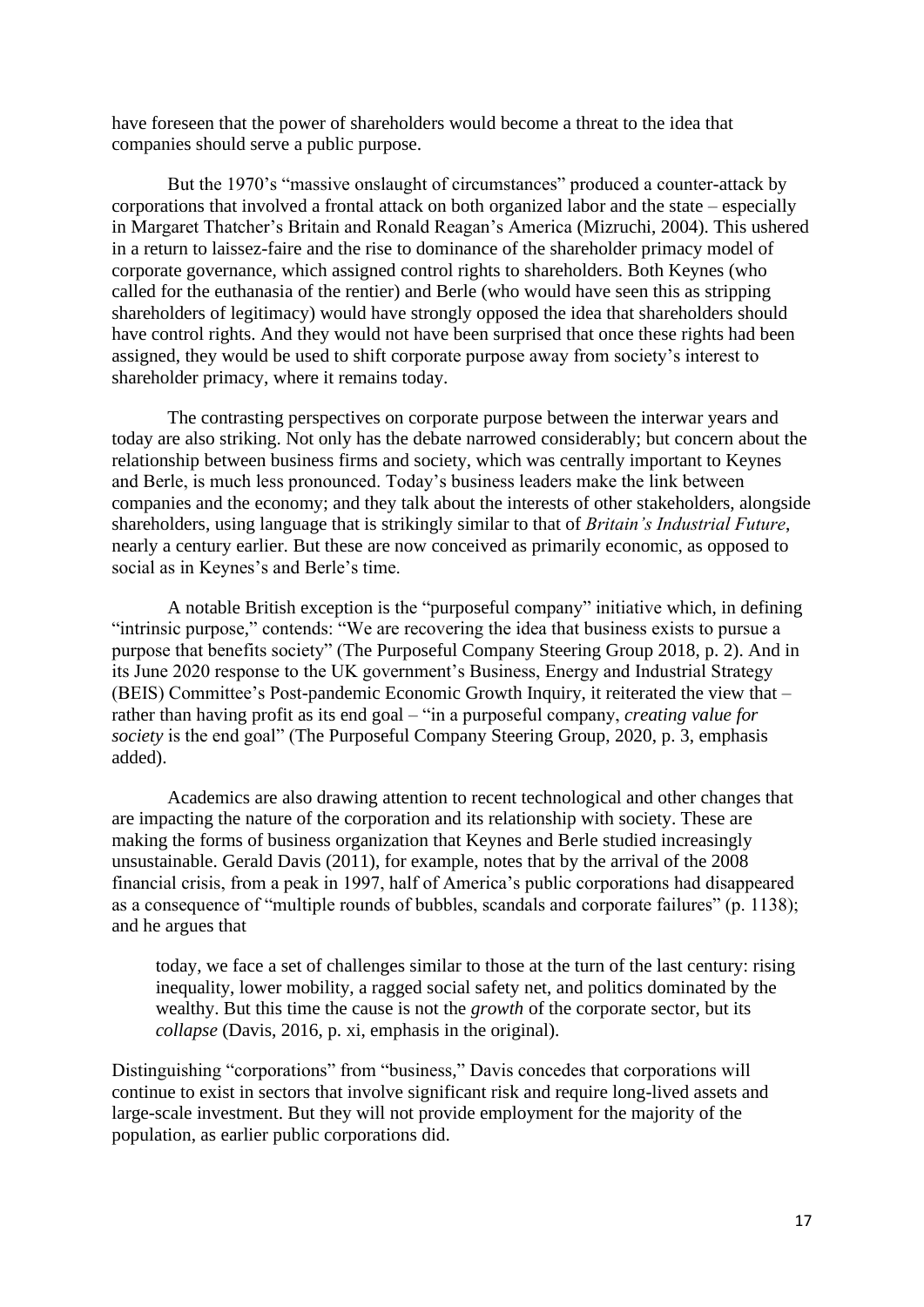have foreseen that the power of shareholders would become a threat to the idea that companies should serve a public purpose.

But the 1970's "massive onslaught of circumstances" produced a counter-attack by corporations that involved a frontal attack on both organized labor and the state – especially in Margaret Thatcher's Britain and Ronald Reagan's America (Mizruchi, 2004). This ushered in a return to laissez-faire and the rise to dominance of the shareholder primacy model of corporate governance, which assigned control rights to shareholders. Both Keynes (who called for the euthanasia of the rentier) and Berle (who would have seen this as stripping shareholders of legitimacy) would have strongly opposed the idea that shareholders should have control rights. And they would not have been surprised that once these rights had been assigned, they would be used to shift corporate purpose away from society's interest to shareholder primacy, where it remains today.

The contrasting perspectives on corporate purpose between the interwar years and today are also striking. Not only has the debate narrowed considerably; but concern about the relationship between business firms and society, which was centrally important to Keynes and Berle, is much less pronounced. Today's business leaders make the link between companies and the economy; and they talk about the interests of other stakeholders, alongside shareholders, using language that is strikingly similar to that of *Britain's Industrial Future*, nearly a century earlier. But these are now conceived as primarily economic, as opposed to social as in Keynes's and Berle's time.

A notable British exception is the "purposeful company" initiative which, in defining "intrinsic purpose," contends: "We are recovering the idea that business exists to pursue a purpose that benefits society" (The Purposeful Company Steering Group 2018, p. 2). And in its June 2020 response to the UK government's Business, Energy and Industrial Strategy (BEIS) Committee's Post-pandemic Economic Growth Inquiry, it reiterated the view that – rather than having profit as its end goal – "in a purposeful company, *creating value for society* is the end goal" (The Purposeful Company Steering Group, 2020, p. 3, emphasis added).

Academics are also drawing attention to recent technological and other changes that are impacting the nature of the corporation and its relationship with society. These are making the forms of business organization that Keynes and Berle studied increasingly unsustainable. Gerald Davis (2011), for example, notes that by the arrival of the 2008 financial crisis, from a peak in 1997, half of America's public corporations had disappeared as a consequence of "multiple rounds of bubbles, scandals and corporate failures" (p. 1138); and he argues that

today, we face a set of challenges similar to those at the turn of the last century: rising inequality, lower mobility, a ragged social safety net, and politics dominated by the wealthy. But this time the cause is not the *growth* of the corporate sector, but its *collapse* (Davis, 2016, p. xi, emphasis in the original).

Distinguishing "corporations" from "business," Davis concedes that corporations will continue to exist in sectors that involve significant risk and require long-lived assets and large-scale investment. But they will not provide employment for the majority of the population, as earlier public corporations did.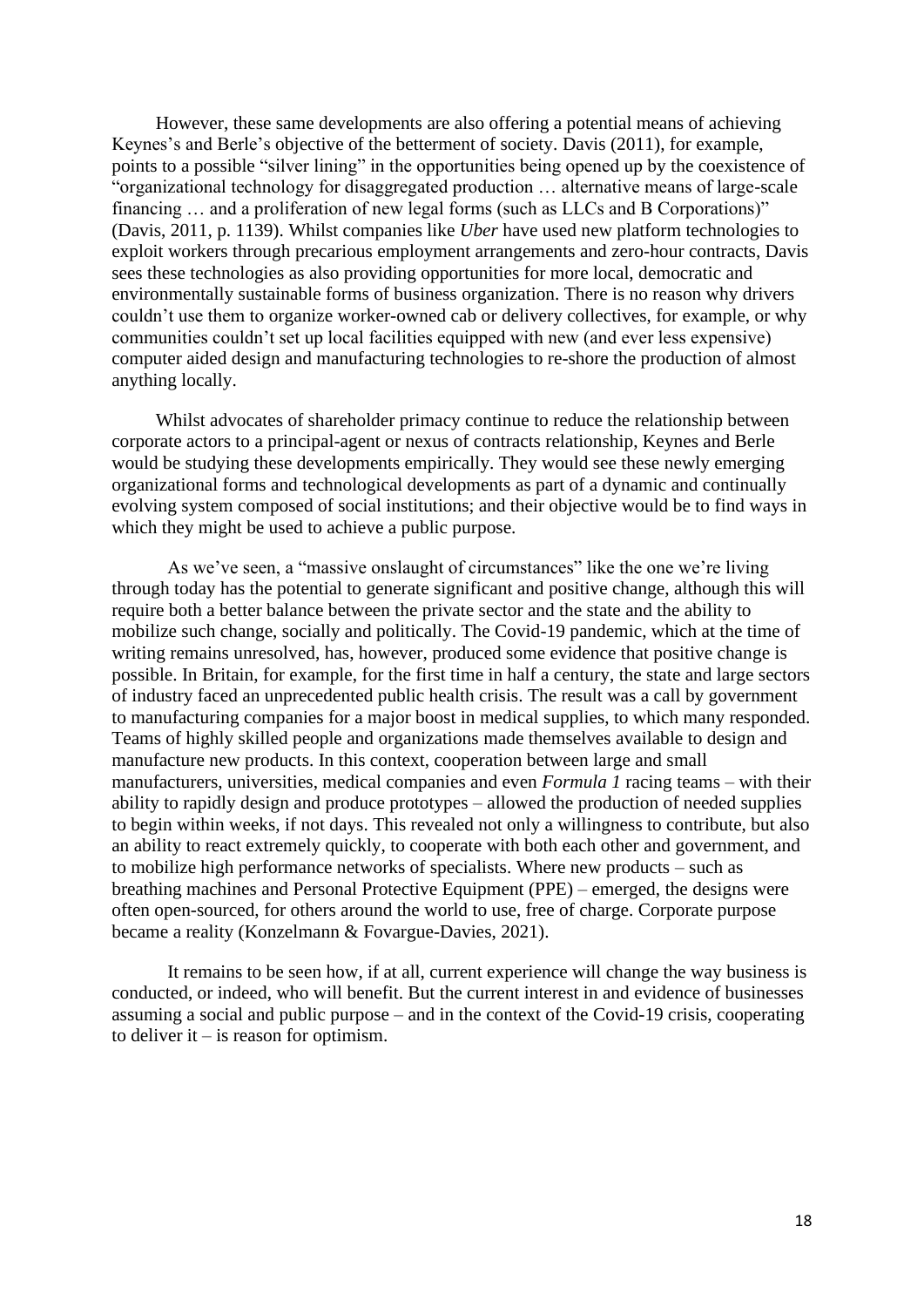However, these same developments are also offering a potential means of achieving Keynes's and Berle's objective of the betterment of society. Davis (2011), for example, points to a possible "silver lining" in the opportunities being opened up by the coexistence of "organizational technology for disaggregated production … alternative means of large-scale financing … and a proliferation of new legal forms (such as LLCs and B Corporations)" (Davis, 2011, p. 1139). Whilst companies like *Uber* have used new platform technologies to exploit workers through precarious employment arrangements and zero-hour contracts, Davis sees these technologies as also providing opportunities for more local, democratic and environmentally sustainable forms of business organization. There is no reason why drivers couldn't use them to organize worker-owned cab or delivery collectives, for example, or why communities couldn't set up local facilities equipped with new (and ever less expensive) computer aided design and manufacturing technologies to re-shore the production of almost anything locally.

Whilst advocates of shareholder primacy continue to reduce the relationship between corporate actors to a principal-agent or nexus of contracts relationship, Keynes and Berle would be studying these developments empirically. They would see these newly emerging organizational forms and technological developments as part of a dynamic and continually evolving system composed of social institutions; and their objective would be to find ways in which they might be used to achieve a public purpose.

As we've seen, a "massive onslaught of circumstances" like the one we're living through today has the potential to generate significant and positive change, although this will require both a better balance between the private sector and the state and the ability to mobilize such change, socially and politically. The Covid-19 pandemic, which at the time of writing remains unresolved, has, however, produced some evidence that positive change is possible. In Britain, for example, for the first time in half a century, the state and large sectors of industry faced an unprecedented public health crisis. The result was a call by government to manufacturing companies for a major boost in medical supplies, to which many responded. Teams of highly skilled people and organizations made themselves available to design and manufacture new products. In this context, cooperation between large and small manufacturers, universities, medical companies and even *Formula 1* racing teams – with their ability to rapidly design and produce prototypes – allowed the production of needed supplies to begin within weeks, if not days. This revealed not only a willingness to contribute, but also an ability to react extremely quickly, to cooperate with both each other and government, and to mobilize high performance networks of specialists. Where new products – such as breathing machines and Personal Protective Equipment (PPE) – emerged, the designs were often open-sourced, for others around the world to use, free of charge. Corporate purpose became a reality (Konzelmann & Fovargue-Davies, 2021).

It remains to be seen how, if at all, current experience will change the way business is conducted, or indeed, who will benefit. But the current interest in and evidence of businesses assuming a social and public purpose – and in the context of the Covid-19 crisis, cooperating to deliver it – is reason for optimism.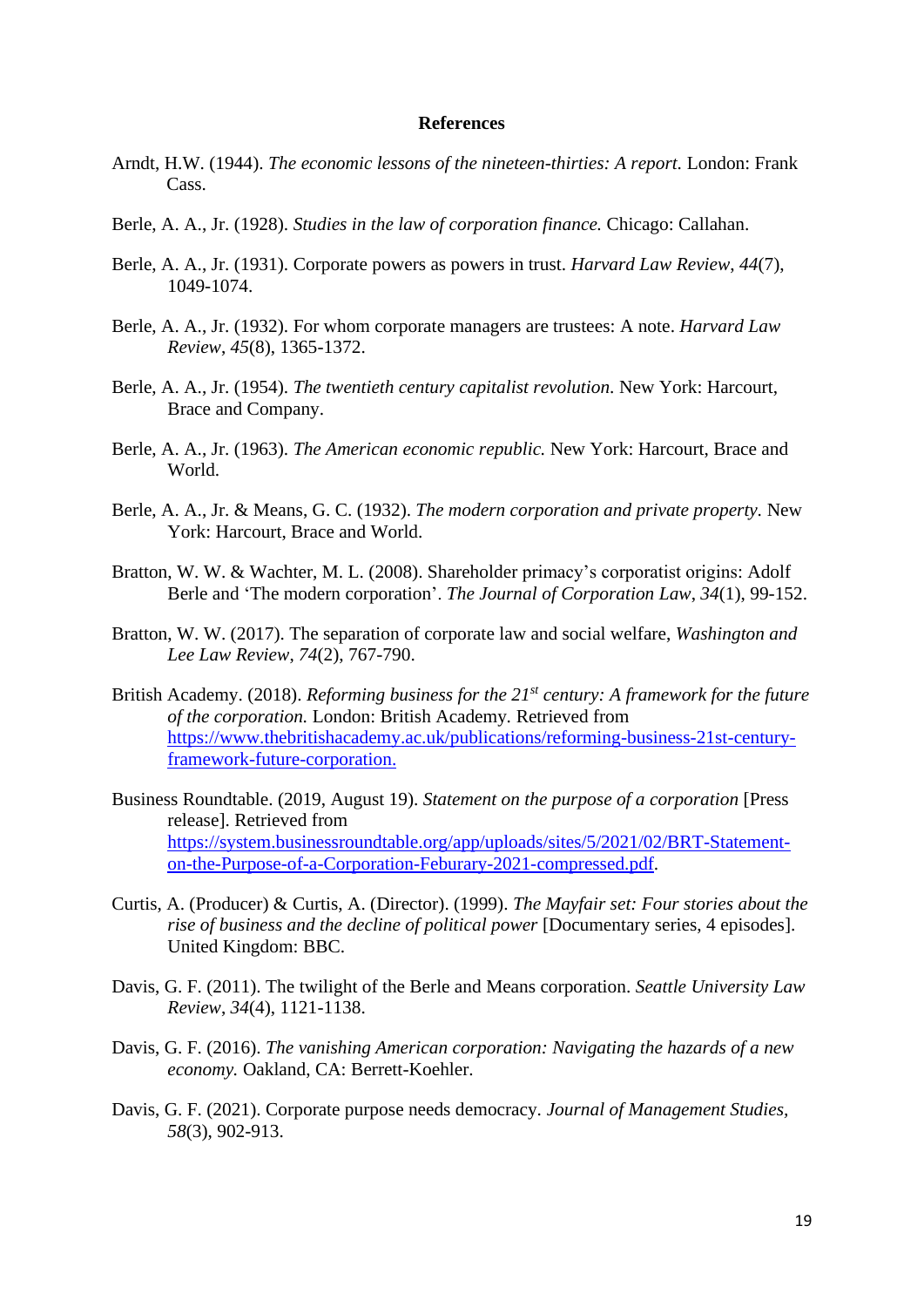#### **References**

- Arndt, H.W. (1944). *The economic lessons of the nineteen-thirties: A report.* London: Frank Cass.
- Berle, A. A., Jr. (1928). *Studies in the law of corporation finance.* Chicago: Callahan.
- Berle, A. A., Jr. (1931). Corporate powers as powers in trust. *Harvard Law Review*, *44*(7), 1049-1074.
- Berle, A. A., Jr. (1932). For whom corporate managers are trustees: A note. *Harvard Law Review*, *45*(8), 1365-1372.
- Berle, A. A., Jr. (1954). *The twentieth century capitalist revolution.* New York: Harcourt, Brace and Company.
- Berle, A. A., Jr. (1963). *The American economic republic.* New York: Harcourt, Brace and World.
- Berle, A. A., Jr. & Means, G. C. (1932). *The modern corporation and private property.* New York: Harcourt, Brace and World.
- Bratton, W. W. & Wachter, M. L. (2008). Shareholder primacy's corporatist origins: Adolf Berle and 'The modern corporation'. *The Journal of Corporation Law*, *34*(1), 99-152.
- Bratton, W. W. (2017). The separation of corporate law and social welfare, *Washington and Lee Law Review*, *74*(2), 767-790.
- British Academy. (2018). *Reforming business for the 21st century: A framework for the future of the corporation.* London: British Academy*.* Retrieved from [https://www.thebritishacademy.ac.uk/publications/reforming-business-21st-century](https://www.thebritishacademy.ac.uk/publications/reforming-business-21st-century-framework-future-corporation)[framework-future-corporation.](https://www.thebritishacademy.ac.uk/publications/reforming-business-21st-century-framework-future-corporation)
- Business Roundtable. (2019, August 19). *Statement on the purpose of a corporation* [Press release]. Retrieved from [https://system.businessroundtable.org/app/uploads/sites/5/2021/02/BRT-Statement](https://system.businessroundtable.org/app/uploads/sites/5/2021/02/BRT-Statement-on-the-Purpose-of-a-Corporation-Feburary-2021-compressed.pdf)[on-the-Purpose-of-a-Corporation-Feburary-2021-compressed.pdf.](https://system.businessroundtable.org/app/uploads/sites/5/2021/02/BRT-Statement-on-the-Purpose-of-a-Corporation-Feburary-2021-compressed.pdf)
- Curtis, A. (Producer) & Curtis, A. (Director). (1999). *The Mayfair set: Four stories about the rise of business and the decline of political power* [Documentary series, 4 episodes]. United Kingdom: BBC.
- Davis, G. F. (2011). The twilight of the Berle and Means corporation. *Seattle University Law Review*, *34*(4), 1121-1138.
- Davis, G. F. (2016). *The vanishing American corporation: Navigating the hazards of a new economy.* Oakland, CA: Berrett-Koehler.
- Davis, G. F. (2021). Corporate purpose needs democracy. *Journal of Management Studies, 58*(3), 902-913.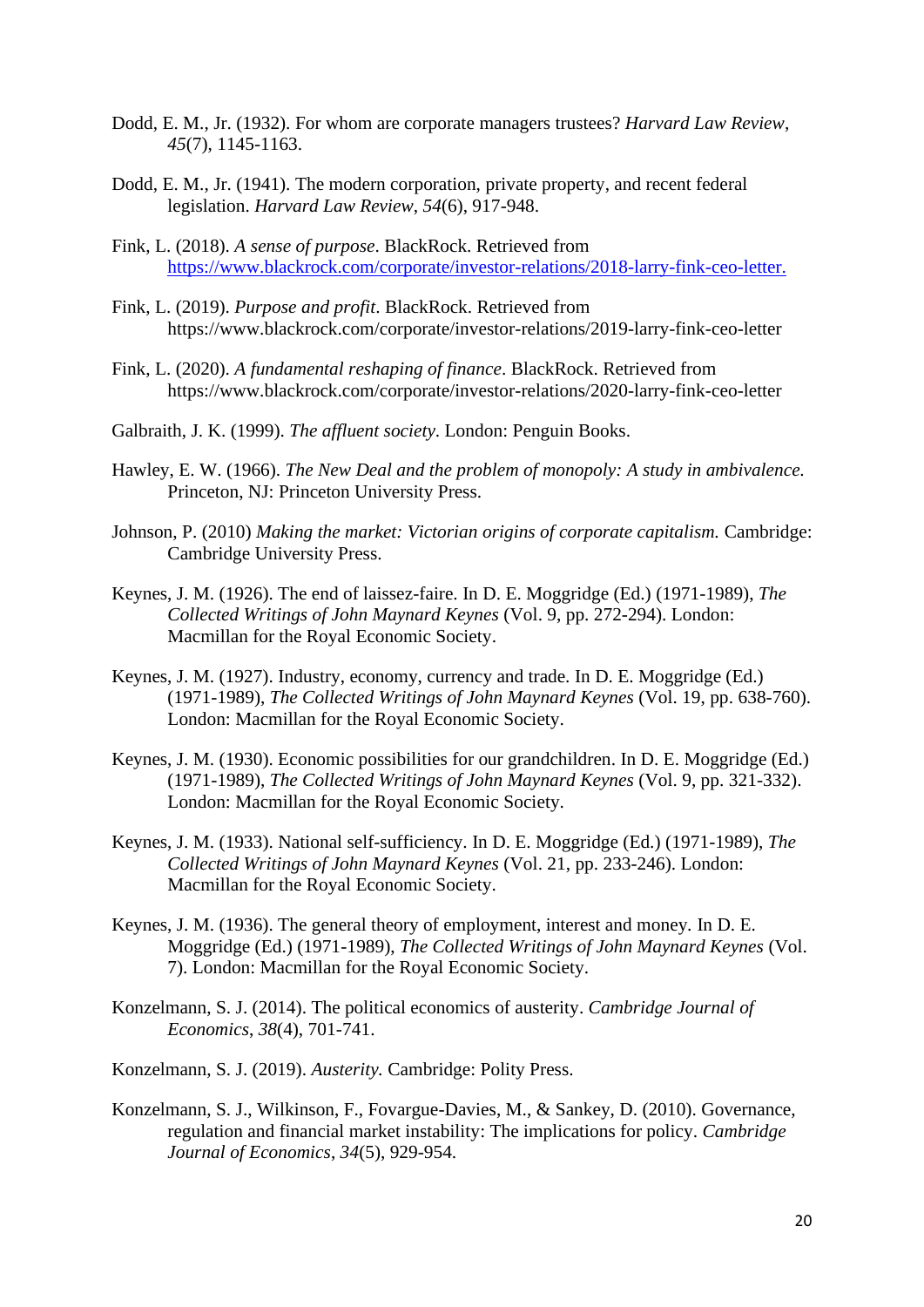- Dodd, E. M., Jr. (1932). For whom are corporate managers trustees? *Harvard Law Review*, *45*(7), 1145-1163.
- Dodd, E. M., Jr. (1941). The modern corporation, private property, and recent federal legislation. *Harvard Law Review*, *54*(6), 917-948.
- Fink, L. (2018). *A sense of purpose*. BlackRock. Retrieved from [https://www.blackrock.com/corporate/investor-relations/2018-larry-fink-ceo-letter.](https://www.blackrock.com/corporate/investor-relations/2018-larry-fink-ceo-letter)
- Fink, L. (2019). *Purpose and profit*. BlackRock. Retrieved from https://www.blackrock.com/corporate/investor-relations/2019-larry-fink-ceo-letter
- Fink, L. (2020). *A fundamental reshaping of finance*. BlackRock. Retrieved from https://www.blackrock.com/corporate/investor-relations/2020-larry-fink-ceo-letter
- Galbraith, J. K. (1999). *The affluent society*. London: Penguin Books.
- Hawley, E. W. (1966). *The New Deal and the problem of monopoly: A study in ambivalence.* Princeton, NJ: Princeton University Press.
- Johnson, P. (2010) *Making the market: Victorian origins of corporate capitalism.* Cambridge: Cambridge University Press.
- Keynes, J. M. (1926). The end of laissez-faire. In D. E. Moggridge (Ed.) (1971-1989), *The Collected Writings of John Maynard Keynes* (Vol. 9, pp. 272-294). London: Macmillan for the Royal Economic Society.
- Keynes, J. M. (1927). Industry, economy, currency and trade. In D. E. Moggridge (Ed.) (1971-1989), *The Collected Writings of John Maynard Keynes* (Vol. 19, pp. 638-760). London: Macmillan for the Royal Economic Society.
- Keynes, J. M. (1930). Economic possibilities for our grandchildren. In D. E. Moggridge (Ed.) (1971-1989), *The Collected Writings of John Maynard Keynes* (Vol. 9, pp. 321-332). London: Macmillan for the Royal Economic Society.
- Keynes, J. M. (1933). National self-sufficiency. In D. E. Moggridge (Ed.) (1971-1989), *The Collected Writings of John Maynard Keynes* (Vol. 21, pp. 233-246). London: Macmillan for the Royal Economic Society.
- Keynes, J. M. (1936). The general theory of employment, interest and money*.* In D. E. Moggridge (Ed.) (1971-1989), *The Collected Writings of John Maynard Keynes* (Vol. 7). London: Macmillan for the Royal Economic Society.
- Konzelmann, S. J. (2014). The political economics of austerity. *Cambridge Journal of Economics*, *38*(4), 701-741.
- Konzelmann, S. J. (2019). *Austerity.* Cambridge: Polity Press.
- Konzelmann, S. J., Wilkinson, F., Fovargue-Davies, M., & Sankey, D. (2010). Governance, regulation and financial market instability: The implications for policy. *Cambridge Journal of Economics*, *34*(5), 929-954.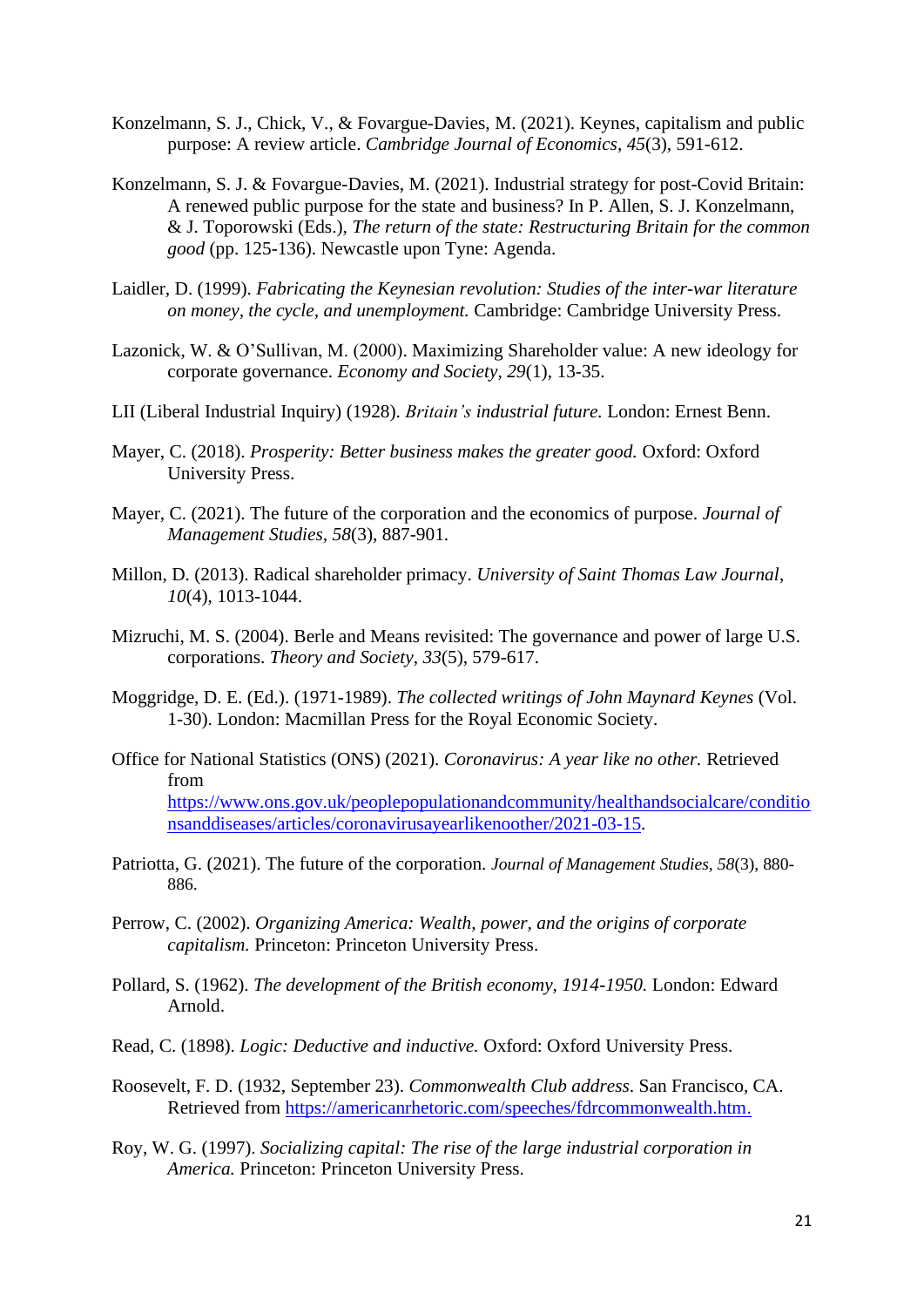- Konzelmann, S. J., Chick, V., & Fovargue-Davies, M. (2021). Keynes, capitalism and public purpose: A review article. *Cambridge Journal of Economics*, *45*(3), 591-612.
- Konzelmann, S. J. & Fovargue-Davies, M. (2021). Industrial strategy for post-Covid Britain: A renewed public purpose for the state and business? In P. Allen, S. J. Konzelmann, & J. Toporowski (Eds.), *The return of the state: Restructuring Britain for the common good* (pp. 125-136). Newcastle upon Tyne: Agenda.
- Laidler, D. (1999). *Fabricating the Keynesian revolution: Studies of the inter-war literature on money, the cycle, and unemployment.* Cambridge: Cambridge University Press.
- Lazonick, W. & O'Sullivan, M. (2000). Maximizing Shareholder value: A new ideology for corporate governance. *Economy and Society*, *29*(1), 13-35.
- LII (Liberal Industrial Inquiry) (1928). *Britain's industrial future.* London: Ernest Benn.
- Mayer, C. (2018). *Prosperity: Better business makes the greater good.* Oxford: Oxford University Press.
- Mayer, C. (2021). The future of the corporation and the economics of purpose. *Journal of Management Studies, 58*(3), 887-901.
- Millon, D. (2013). Radical shareholder primacy. *University of Saint Thomas Law Journal*, *10*(4), 1013-1044.
- Mizruchi, M. S. (2004). Berle and Means revisited: The governance and power of large U.S. corporations. *Theory and Society*, *33*(5), 579-617.
- Moggridge, D. E. (Ed.). (1971-1989). *The collected writings of John Maynard Keynes* (Vol. 1-30). London: Macmillan Press for the Royal Economic Society.
- Office for National Statistics (ONS) (2021). *Coronavirus: A year like no other.* Retrieved from [https://www.ons.gov.uk/peoplepopulationandcommunity/healthandsocialcare/conditio](https://www.ons.gov.uk/peoplepopulationandcommunity/healthandsocialcare/conditionsanddiseases/articles/coronavirusayearlikenoother/2021-03-15) [nsanddiseases/articles/coronavirusayearlikenoother/2021-03-15.](https://www.ons.gov.uk/peoplepopulationandcommunity/healthandsocialcare/conditionsanddiseases/articles/coronavirusayearlikenoother/2021-03-15)
- Patriotta, G. (2021). The future of the corporation. *Journal of Management Studies, 58*(3), 880- 886.
- Perrow, C. (2002). *Organizing America: Wealth, power, and the origins of corporate capitalism.* Princeton: Princeton University Press.
- Pollard, S. (1962). *The development of the British economy, 1914-1950.* London: Edward Arnold.
- Read, C. (1898). *Logic: Deductive and inductive.* Oxford: Oxford University Press.
- Roosevelt, F. D. (1932, September 23). *Commonwealth Club address*. San Francisco, CA. Retrieved from [https://americanrhetoric.com/speeches/fdrcommonwealth.htm.](https://americanrhetoric.com/speeches/fdrcommonwealth.htm)
- Roy, W. G. (1997). *Socializing capital: The rise of the large industrial corporation in America.* Princeton: Princeton University Press.